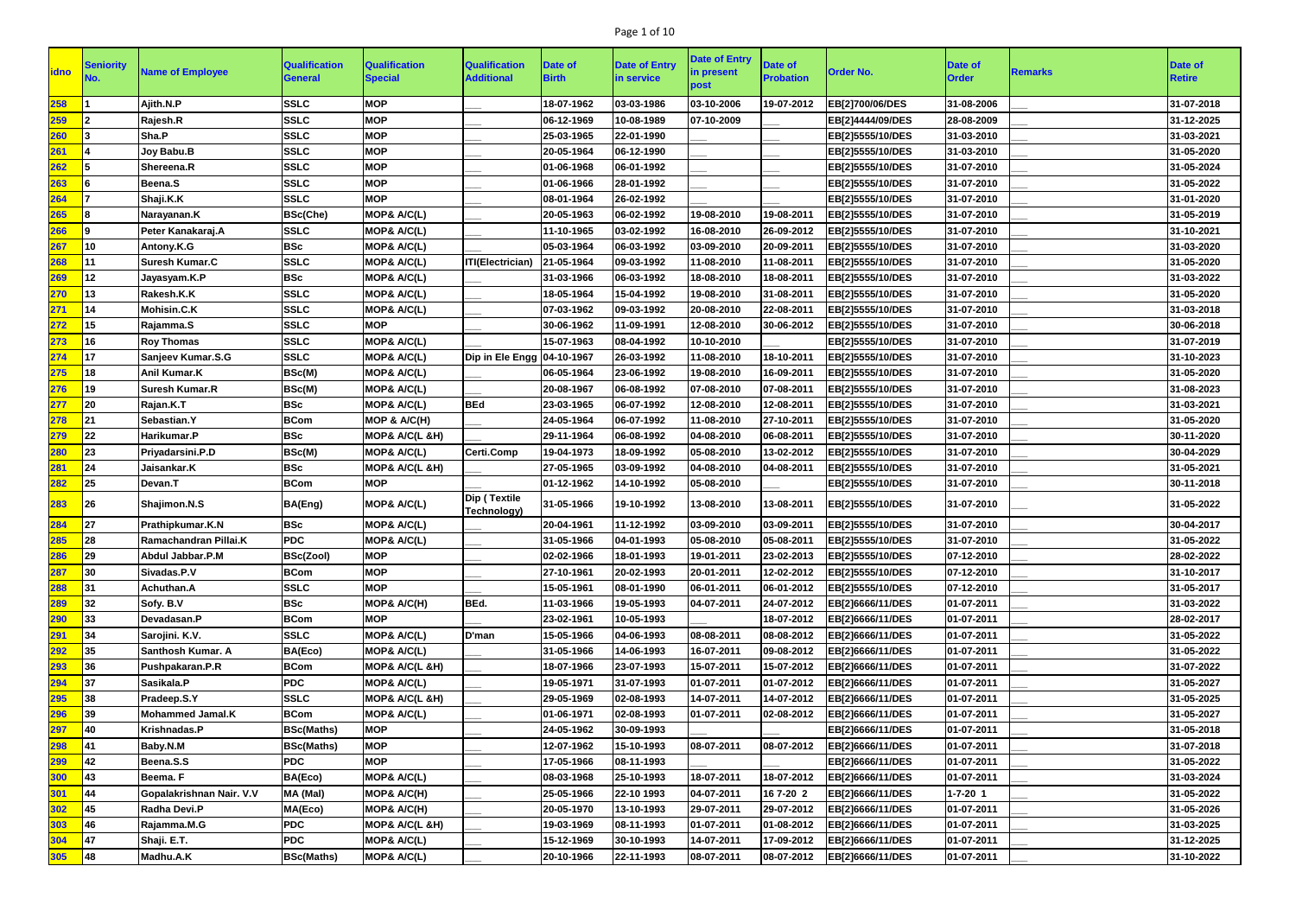# Page 1 of 10

| <b>idno</b> | Seniority        | <b>Name of Employee</b>  | <b>Qualification</b><br><b>General</b> | <b>Qualification</b><br><b>Special</b> | <b>Qualification</b><br><b>Additional</b> | Date of<br><b>Birth</b> | <b>Date of Entry</b><br>in service | <b>Date of Entry</b><br>in present<br>post | Date of<br><b>Probation</b> | <b>Order No.</b> | <b>Date of</b><br><b>Order</b> | Remarks | <b>Date of</b><br><b>Retire</b> |
|-------------|------------------|--------------------------|----------------------------------------|----------------------------------------|-------------------------------------------|-------------------------|------------------------------------|--------------------------------------------|-----------------------------|------------------|--------------------------------|---------|---------------------------------|
| 258         |                  | Ajith.N.P                | <b>SSLC</b>                            | <b>MOP</b>                             |                                           | 18-07-1962              | 03-03-1986                         | 03-10-2006                                 | 19-07-2012                  | EB[2]700/06/DES  | 31-08-2006                     |         | 31-07-2018                      |
| 259         |                  | Rajesh.R                 | <b>SSLC</b>                            | <b>MOP</b>                             |                                           | 06-12-1969              | 10-08-1989                         | 07-10-2009                                 |                             | EB[2]4444/09/DES | 28-08-2009                     |         | 31-12-2025                      |
| 260         |                  | Sha.P                    | <b>SSLC</b>                            | <b>MOP</b>                             |                                           | 25-03-1965              | 22-01-1990                         |                                            |                             | EB[2]5555/10/DES | 31-03-2010                     |         | 31-03-2021                      |
| 261         |                  | Joy Babu.B               | <b>SSLC</b>                            | <b>MOP</b>                             |                                           | 20-05-1964              | 06-12-1990                         |                                            |                             | EB[2]5555/10/DES | 31-03-2010                     |         | 31-05-2020                      |
| 262         | 15               | Shereena.R               | <b>SSLC</b>                            | <b>MOP</b>                             |                                           | 01-06-1968              | 06-01-1992                         |                                            |                             | EB[2]5555/10/DES | 31-07-2010                     |         | 31-05-2024                      |
| 263         |                  | Beena.S                  | <b>SSLC</b>                            | <b>MOP</b>                             |                                           | 01-06-1966              | 28-01-1992                         |                                            |                             | EB[2]5555/10/DES | 31-07-2010                     |         | 31-05-2022                      |
| 264         |                  | Shaji.K.K                | <b>SSLC</b>                            | <b>MOP</b>                             |                                           | 08-01-1964              | 26-02-1992                         |                                            |                             | EB[2]5555/10/DES | 31-07-2010                     |         | 31-01-2020                      |
| 265         |                  | Narayanan.K              | <b>BSc(Che)</b>                        | MOP& A/C(L)                            |                                           | 20-05-1963              | 06-02-1992                         | 19-08-2010                                 | 19-08-2011                  | EB[2]5555/10/DES | 31-07-2010                     |         | 31-05-2019                      |
| 266         | l9               | Peter Kanakaraj.A        | <b>SSLC</b>                            | MOP& A/C(L)                            |                                           | 11-10-1965              | 03-02-1992                         | 16-08-2010                                 | 26-09-2012                  | EB[2]5555/10/DES | 31-07-2010                     |         | 31-10-2021                      |
| 267         | l10              | Antony.K.G               | <b>BSc</b>                             | MOP& A/C(L)                            |                                           | 05-03-1964              | 06-03-1992                         | 03-09-2010                                 | 20-09-2011                  | EB[2]5555/10/DES | 31-07-2010                     |         | 31-03-2020                      |
| 268         |                  | <b>Suresh Kumar.C</b>    | <b>SSLC</b>                            | MOP& A/C(L)                            | ITI(Electrician)                          | 21-05-1964              | 09-03-1992                         | 11-08-2010                                 | 11-08-2011                  | EB[2]5555/10/DES | 31-07-2010                     |         | 31-05-2020                      |
| 269         | 12               | Jayasyam.K.P             | <b>BSc</b>                             | <b>MOP&amp; A/C(L)</b>                 |                                           | 31-03-1966              | 06-03-1992                         | 18-08-2010                                 | 18-08-2011                  | EB[2]5555/10/DES | 31-07-2010                     |         | 31-03-2022                      |
| 270         | <b>13</b>        | Rakesh.K.K               | <b>SSLC</b>                            | MOP& A/C(L)                            |                                           | 18-05-1964              | 15-04-1992                         | 19-08-2010                                 | 31-08-2011                  | EB[2]5555/10/DES | 31-07-2010                     |         | 31-05-2020                      |
| 271         | 14               | Mohisin.C.K              | <b>SSLC</b>                            | MOP& A/C(L)                            |                                           | 07-03-1962              | 09-03-1992                         | 20-08-2010                                 | 22-08-2011                  | EB[2]5555/10/DES | 31-07-2010                     |         | 31-03-2018                      |
| 272         | 15               | Rajamma.S                | <b>SSLC</b>                            | <b>MOP</b>                             |                                           | 30-06-1962              | 11-09-1991                         | 12-08-2010                                 | 30-06-2012                  | EB[2]5555/10/DES | 31-07-2010                     |         | 30-06-2018                      |
| 273         | l16              | <b>Roy Thomas</b>        | <b>SSLC</b>                            | MOP& A/C(L)                            |                                           | 15-07-1963              | 08-04-1992                         | 10-10-2010                                 |                             | EB[2]5555/10/DES | 31-07-2010                     |         | 31-07-2019                      |
| 274         | 417              | Sanjeev Kumar.S.G        | <b>SSLC</b>                            | MOP& A/C(L)                            | Dip in Ele Engg   04-10-1967              |                         | 26-03-1992                         | 11-08-2010                                 | 18-10-2011                  | EB[2]5555/10/DES | 31-07-2010                     |         | 31-10-2023                      |
| 275         | 18               | Anil Kumar.K             | BSc(M)                                 | MOP& A/C(L)                            |                                           | 06-05-1964              | 23-06-1992                         | 19-08-2010                                 | 16-09-2011                  | EB[2]5555/10/DES | 31-07-2010                     |         | 31-05-2020                      |
| 276         | 19               | <b>Suresh Kumar.R</b>    | BSc(M)                                 | MOP& A/C(L)                            |                                           | 20-08-1967              | 06-08-1992                         | 07-08-2010                                 | 07-08-2011                  | EB[2]5555/10/DES | 31-07-2010                     |         | 31-08-2023                      |
| 277         | 20               | Rajan.K.T                | <b>BSc</b>                             | MOP& A/C(L)                            | <b>BEd</b>                                | 23-03-1965              | 06-07-1992                         | 12-08-2010                                 | 12-08-2011                  | EB[2]5555/10/DES | 31-07-2010                     |         | 31-03-2021                      |
| 278         | 21               | Sebastian.Y              | <b>BCom</b>                            | MOP & A/C(H)                           |                                           | 24-05-1964              | 06-07-1992                         | 11-08-2010                                 | 27-10-2011                  | EB[2]5555/10/DES | 31-07-2010                     |         | 31-05-2020                      |
| 279         | 22               | Harikumar.P              | <b>BSc</b>                             | MOP& A/C(L &H)                         |                                           | 29-11-1964              | 06-08-1992                         | 04-08-2010                                 | 06-08-2011                  | EB[2]5555/10/DES | 31-07-2010                     |         | 30-11-2020                      |
| 280         | 23               | Priyadarsini.P.D         | BSc(M)                                 | MOP& A/C(L)                            | <b>Certi.Comp</b>                         | 19-04-1973              | 18-09-1992                         | 05-08-2010                                 | 13-02-2012                  | EB[2]5555/10/DES | 31-07-2010                     |         | 30-04-2029                      |
| 281         | 24               | Jaisankar.K              | <b>BSc</b>                             | MOP& A/C(L &H)                         |                                           | 27-05-1965              | 03-09-1992                         | 04-08-2010                                 | 04-08-2011                  | EB[2]5555/10/DES | 31-07-2010                     |         | 31-05-2021                      |
| 282         | 25               | Devan.T                  | <b>BCom</b>                            | <b>MOP</b>                             |                                           | 01-12-1962              | 14-10-1992                         | 05-08-2010                                 |                             | EB[2]5555/10/DES | 31-07-2010                     |         | 30-11-2018                      |
| 283         | <b>26</b>        | Shajimon.N.S             | BA(Eng)                                | <b>MOP&amp; A/C(L)</b>                 | Dip (Textile<br><b>Technology)</b>        | 31-05-1966              | 19-10-1992                         | 13-08-2010                                 | 13-08-2011                  | EB[2]5555/10/DES | 31-07-2010                     |         | 31-05-2022                      |
| 284         | 27               | Prathipkumar.K.N         | <b>BSc</b>                             | MOP& A/C(L)                            |                                           | 20-04-1961              | 11-12-1992                         | 03-09-2010                                 | 03-09-2011                  | EB[2]5555/10/DES | 31-07-2010                     |         | 30-04-2017                      |
| 285         | 28               | Ramachandran Pillai.K    | <b>PDC</b>                             | MOP& A/C(L)                            |                                           | 31-05-1966              | 04-01-1993                         | 05-08-2010                                 | 05-08-2011                  | EB[2]5555/10/DES | 31-07-2010                     |         | 31-05-2022                      |
| 286         | 29               | Abdul Jabbar.P.M         | BSc(Zool)                              | <b>MOP</b>                             |                                           | 02-02-1966              | 18-01-1993                         | 19-01-2011                                 | 23-02-2013                  | EB[2]5555/10/DES | 07-12-2010                     |         | 28-02-2022                      |
| 287         | $ 30\rangle$     | Sivadas.P.V              | <b>BCom</b>                            | <b>MOP</b>                             |                                           | 27-10-1961              | 20-02-1993                         | 20-01-2011                                 | 12-02-2012                  | EB[2]5555/10/DES | 07-12-2010                     |         | 31-10-2017                      |
| 288         | 31               | Achuthan.A               | <b>SSLC</b>                            | <b>MOP</b>                             |                                           | 15-05-1961              | 08-01-1990                         | 06-01-2011                                 | 06-01-2012                  | EB[2]5555/10/DES | 07-12-2010                     |         | 31-05-2017                      |
| 289         | 32               | Sofy. B.V                | <b>BSc</b>                             | MOP& A/C(H)                            | BEd.                                      | 11-03-1966              | 19-05-1993                         | 04-07-2011                                 | 24-07-2012                  | EB[2]6666/11/DES | 01-07-2011                     |         | 31-03-2022                      |
| 290         | 33               | Devadasan.P              | <b>BCom</b>                            | <b>MOP</b>                             |                                           | 23-02-1961              | 10-05-1993                         |                                            | 18-07-2012                  | EB[2]6666/11/DES | 01-07-2011                     |         | 28-02-2017                      |
| 291         | 34               | Sarojini. K.V.           | <b>SSLC</b>                            | MOP& A/C(L)                            | D'man                                     | 15-05-1966              | 04-06-1993                         | 08-08-2011                                 | 08-08-2012                  | EB[2]6666/11/DES | 01-07-2011                     |         | 31-05-2022                      |
| 292         | $\vert$ 35       | <b>Santhosh Kumar. A</b> | BA(Eco)                                | MOP& A/C(L)                            |                                           | 31-05-1966              | 14-06-1993                         | 16-07-2011                                 | 09-08-2012                  | EB[2]6666/11/DES | 01-07-2011                     |         | 31-05-2022                      |
| 293         | 36               | Pushpakaran.P.R          | <b>BCom</b>                            | MOP& A/C(L &H)                         |                                           | 18-07-1966              | 23-07-1993                         | 15-07-2011                                 | 15-07-2012                  | EB[2]6666/11/DES | 01-07-2011                     |         | 31-07-2022                      |
| 294         | 37               | Sasikala.P               | <b>PDC</b>                             | MOP& A/C(L)                            |                                           | 19-05-1971              | 31-07-1993                         | 01-07-2011                                 | 01-07-2012                  | EB[2]6666/11/DES | 01-07-2011                     |         | 31-05-2027                      |
| 295         | 38               | Pradeep.S.Y              | <b>SSLC</b>                            | MOP& A/C(L &H)                         |                                           | 29-05-1969              | 02-08-1993                         | 14-07-2011                                 | 14-07-2012                  | EB[2]6666/11/DES | 01-07-2011                     |         | 31-05-2025                      |
| 296         | 39               | <b>Mohammed Jamal.K</b>  | <b>BCom</b>                            | MOP& A/C(L)                            |                                           | 01-06-1971              | 02-08-1993                         | 01-07-2011                                 | 02-08-2012                  | EB[2]6666/11/DES | 01-07-2011                     |         | 31-05-2027                      |
| 297         | $\vert$ 40       | Krishnadas.P             | <b>BSc(Maths)</b>                      | <b>MOP</b>                             |                                           | 24-05-1962              | 30-09-1993                         |                                            |                             | EB[2]6666/11/DES | 01-07-2011                     |         | 31-05-2018                      |
| 298         | <b>141</b>       | Baby.N.M                 | <b>BSc(Maths)</b>                      | <b>MOP</b>                             |                                           | 12-07-1962              | 15-10-1993                         | 08-07-2011                                 | 08-07-2012                  | EB[2]6666/11/DES | 01-07-2011                     |         | 31-07-2018                      |
| 299         | 42               | Beena.S.S                | <b>PDC</b>                             | <b>MOP</b>                             |                                           | 17-05-1966              | 08-11-1993                         |                                            |                             | EB[2]6666/11/DES | 01-07-2011                     |         | 31-05-2022                      |
| 300         | 43               | Beema. F                 | BA(Eco)                                | MOP& A/C(L)                            |                                           | 08-03-1968              | 25-10-1993                         | 18-07-2011                                 | 18-07-2012                  | EB[2]6666/11/DES | 01-07-2011                     |         | 31-03-2024                      |
| 301         | $\vert 44 \vert$ | Gopalakrishnan Nair. V.V | MA (Mal)                               | MOP& A/C(H)                            |                                           | 25-05-1966              | 22-10 1993                         | 04-07-2011                                 | 167-20 2                    | EB[2]6666/11/DES | $1 - 7 - 20$ 1                 |         | 31-05-2022                      |
| 302         | $\vert$ 45       | Radha Devi.P             | MA(Eco)                                | MOP& A/C(H)                            |                                           | 20-05-1970              | 13-10-1993                         | 29-07-2011                                 | 29-07-2012                  | EB[2]6666/11/DES | 01-07-2011                     |         | 31-05-2026                      |
| 303         | 46               | Rajamma.M.G              | <b>PDC</b>                             | MOP& A/C(L &H)                         |                                           | 19-03-1969              | 08-11-1993                         | 01-07-2011                                 | 01-08-2012                  | EB[2]6666/11/DES | 01-07-2011                     |         | 31-03-2025                      |
| 304         | $\vert$ 47       | Shaji. E.T.              | <b>PDC</b>                             | MOP& A/C(L)                            |                                           | 15-12-1969              | 30-10-1993                         | 14-07-2011                                 | 17-09-2012                  | EB[2]6666/11/DES | 01-07-2011                     |         | 31-12-2025                      |
| <b>305</b>  | 48               | Madhu.A.K                | <b>BSc(Maths)</b>                      | MOP& A/C(L)                            |                                           | 20-10-1966              | 22-11-1993                         | 08-07-2011                                 | 08-07-2012                  | EB[2]6666/11/DES | 01-07-2011                     |         | 31-10-2022                      |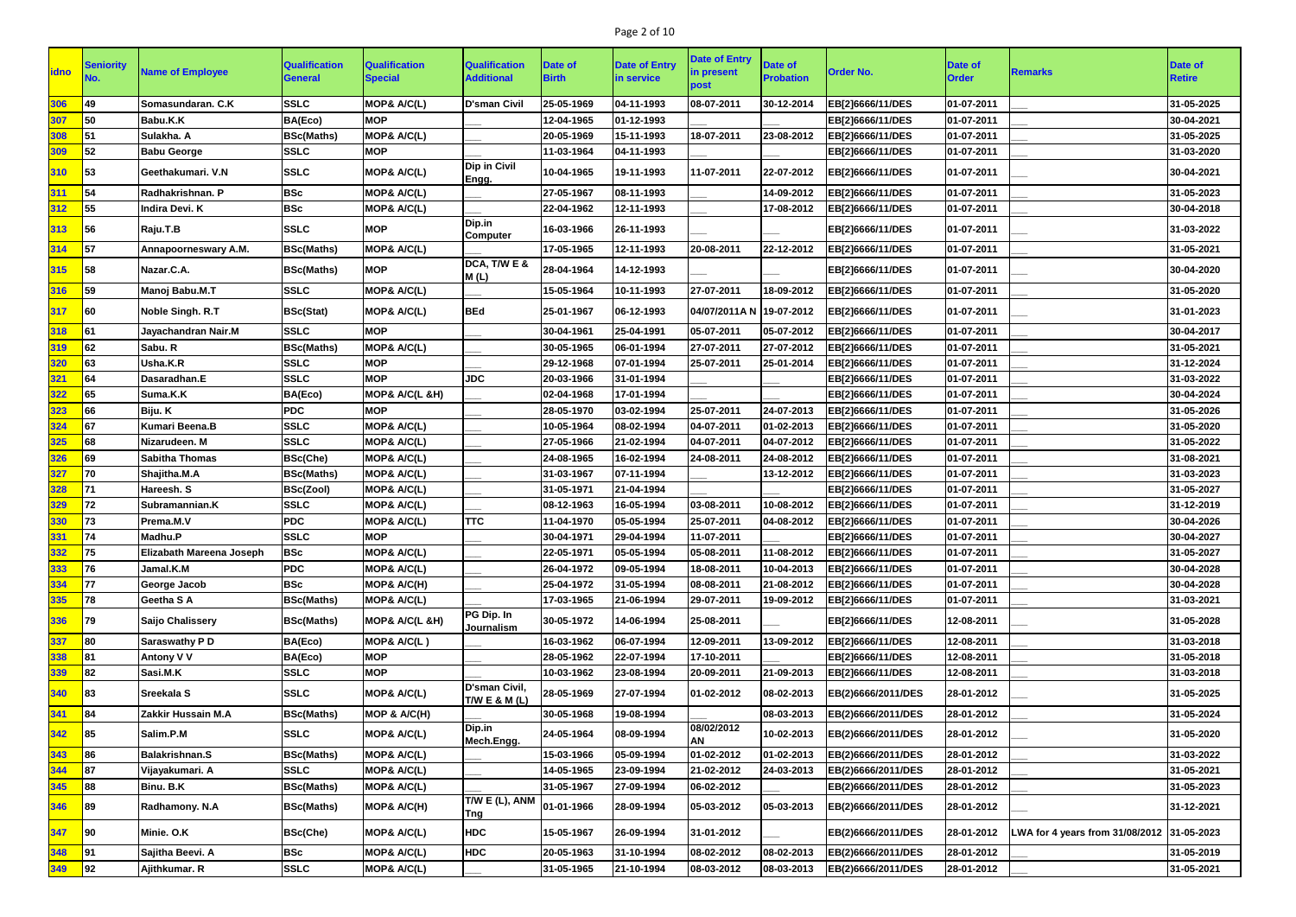# Page 2 of 10

|              |                  |                          |                                        |                                        |                                                     |                         |                                    | <b>Date of Entry</b>     |                                    |                    |                                |                                            |                          |
|--------------|------------------|--------------------------|----------------------------------------|----------------------------------------|-----------------------------------------------------|-------------------------|------------------------------------|--------------------------|------------------------------------|--------------------|--------------------------------|--------------------------------------------|--------------------------|
| <b>lidno</b> | <b>Seniority</b> | <b>Name of Employee</b>  | <b>Qualification</b><br><b>General</b> | <b>Qualification</b><br><b>Special</b> | <b>Qualification</b><br><b>Additional</b>           | Date of<br><b>Birth</b> | <b>Date of Entry</b><br>in service | in present               | <b>Date of</b><br><b>Probation</b> | <b>Order No.</b>   | <b>Date of</b><br><b>Order</b> | <b>Remarks</b>                             | Date of<br><b>Retire</b> |
|              |                  |                          |                                        |                                        |                                                     |                         |                                    | ວ໐st                     |                                    |                    |                                |                                            |                          |
| 306          | 49               | Somasundaran. C.K        | <b>SSLC</b>                            | MOP& A/C(L)                            | <b>D'sman Civil</b>                                 | 25-05-1969              | 04-11-1993                         | 08-07-2011               | 30-12-2014                         | EB[2]6666/11/DES   | 01-07-2011                     |                                            | 31-05-2025               |
| 307          | 50               | <b>Babu.K.K</b>          | BA(Eco)                                | <b>MOP</b>                             |                                                     | 12-04-1965              | 01-12-1993                         |                          |                                    | EB[2]6666/11/DES   | 01-07-2011                     |                                            | 30-04-2021               |
| 308          | 51               | Sulakha. A               | <b>BSc(Maths)</b>                      | MOP& A/C(L)                            |                                                     | 20-05-1969              | 15-11-1993                         | 18-07-2011               | 23-08-2012                         | EB[2]6666/11/DES   | 01-07-2011                     |                                            | 31-05-2025               |
| 309          | 52               | <b>Babu George</b>       | <b>SSLC</b>                            | <b>MOP</b>                             |                                                     | 11-03-1964              | 04-11-1993                         |                          |                                    | EB[2]6666/11/DES   | 01-07-2011                     |                                            | 31-03-2020               |
| 310          | 53               | Geethakumari. V.N        | <b>SSLC</b>                            | MOP& A/C(L)                            | <b>Dip in Civil</b><br>Engg.                        | 10-04-1965              | 19-11-1993                         | 11-07-2011               | 22-07-2012                         | EB[2]6666/11/DES   | 01-07-2011                     |                                            | 30-04-2021               |
| 311          | 54               | Radhakrishnan. P         | <b>BSc</b>                             | MOP& A/C(L)                            |                                                     | 27-05-1967              | 08-11-1993                         |                          | 14-09-2012                         | EB[2]6666/11/DES   | 01-07-2011                     |                                            | 31-05-2023               |
| 312          | 55               | Indira Devi. K           | <b>BSc</b>                             | <b>MOP&amp; A/C(L)</b>                 |                                                     | 22-04-1962              | 12-11-1993                         |                          | 17-08-2012                         | EB[2]6666/11/DES   | 01-07-2011                     |                                            | 30-04-2018               |
| 313          | 56               | Raju.T.B                 | <b>SSLC</b>                            | <b>MOP</b>                             | Dip.in<br><b>Computer</b>                           | 16-03-1966              | 26-11-1993                         |                          |                                    | EB[2]6666/11/DES   | 01-07-2011                     |                                            | 31-03-2022               |
| 314          | 57               | Annapoorneswary A.M.     | <b>BSc(Maths)</b>                      | MOP& A/C(L)                            |                                                     | 17-05-1965              | 12-11-1993                         | 20-08-2011               | 22-12-2012                         | EB[2]6666/11/DES   | 01-07-2011                     |                                            | 31-05-2021               |
| 315          | 158              | Nazar.C.A.               | <b>BSc(Maths)</b>                      | <b>MOP</b>                             | DCA, T/W E &<br>M(L)                                | 28-04-1964              | 14-12-1993                         |                          |                                    | EB[2]6666/11/DES   | 01-07-2011                     |                                            | 30-04-2020               |
| 316          | 59               | Manoj Babu.M.T           | <b>SSLC</b>                            | MOP& A/C(L)                            |                                                     | 15-05-1964              | 10-11-1993                         | 27-07-2011               | 18-09-2012                         | EB[2]6666/11/DES   | 01-07-2011                     |                                            | 31-05-2020               |
| 317          | <b>60</b>        | Noble Singh. R.T         | <b>BSc(Stat)</b>                       | MOP& A/C(L)                            | <b>BEd</b>                                          | 25-01-1967              | 06-12-1993                         | 04/07/2011A N 19-07-2012 |                                    | EB[2]6666/11/DES   | 01-07-2011                     |                                            | 31-01-2023               |
| 318          | 61               | Jayachandran Nair.M      | <b>SSLC</b>                            | <b>MOP</b>                             |                                                     | 30-04-1961              | 25-04-1991                         | 05-07-2011               | 05-07-2012                         | EB[2]6666/11/DES   | 01-07-2011                     |                                            | 30-04-2017               |
| 319          | 62               | Sabu. R                  | <b>BSc(Maths)</b>                      | MOP& A/C(L)                            |                                                     | 30-05-1965              | 06-01-1994                         | 27-07-2011               | 27-07-2012                         | EB[2]6666/11/DES   | 01-07-2011                     |                                            | 31-05-2021               |
| 320          | 63               | Usha.K.R                 | <b>SSLC</b>                            | <b>MOP</b>                             |                                                     | 29-12-1968              | 07-01-1994                         | 25-07-2011               | 25-01-2014                         | EB[2]6666/11/DES   | 01-07-2011                     |                                            | 31-12-2024               |
| 321          | 64               | Dasaradhan.E             | <b>SSLC</b>                            | <b>MOP</b>                             | <b>JDC</b>                                          | 20-03-1966              | 31-01-1994                         |                          |                                    | EB[2]6666/11/DES   | 01-07-2011                     |                                            | 31-03-2022               |
| 322          | 65               | Suma.K.K                 | BA(Eco)                                | MOP& A/C(L &H)                         |                                                     | 02-04-1968              | 17-01-1994                         |                          |                                    | EB[2]6666/11/DES   | 01-07-2011                     |                                            | 30-04-2024               |
| 323          | 66               | Biju. K                  | PDC                                    | <b>MOP</b>                             |                                                     | 28-05-1970              | 03-02-1994                         | 25-07-2011               | 24-07-2013                         | EB[2]6666/11/DES   | 01-07-2011                     |                                            | 31-05-2026               |
| 324          | 67               | <b>Kumari Beena.B</b>    | <b>SSLC</b>                            | MOP& A/C(L)                            |                                                     | 10-05-1964              | 08-02-1994                         | 04-07-2011               | 01-02-2013                         | EB[2]6666/11/DES   | 01-07-2011                     |                                            | 31-05-2020               |
| 325          | 68               | Nizarudeen. M            | <b>SSLC</b>                            | MOP& A/C(L)                            |                                                     | 27-05-1966              | 21-02-1994                         | 04-07-2011               | 04-07-2012                         | EB[2]6666/11/DES   | 01-07-2011                     |                                            | 31-05-2022               |
| 326          | 69               | <b>Sabitha Thomas</b>    | <b>BSc(Che)</b>                        | MOP& A/C(L)                            |                                                     | 24-08-1965              | 16-02-1994                         | 24-08-2011               | 24-08-2012                         | EB[2]6666/11/DES   | 01-07-2011                     |                                            | 31-08-2021               |
| 327          | 70               | Shajitha.M.A             | <b>BSc(Maths)</b>                      | MOP& A/C(L)                            |                                                     | 31-03-1967              | 07-11-1994                         |                          | 13-12-2012                         | EB[2]6666/11/DES   | 01-07-2011                     |                                            | 31-03-2023               |
| 328          | 71               | Hareesh. S               | <b>BSc(Zool)</b>                       | MOP& A/C(L)                            |                                                     | 31-05-1971              | 21-04-1994                         |                          |                                    | EB[2]6666/11/DES   | 01-07-2011                     |                                            | 31-05-2027               |
| 329          | 72               | Subramannian.K           | <b>SSLC</b>                            | MOP& A/C(L)                            |                                                     | 08-12-1963              | 16-05-1994                         | 03-08-2011               | 10-08-2012                         | EB[2]6666/11/DES   | 01-07-2011                     |                                            | 31-12-2019               |
| 330          | 73               | Prema.M.V                | <b>PDC</b>                             | MOP& A/C(L)                            | <b>TTC</b>                                          | 11-04-1970              | 05-05-1994                         | 25-07-2011               | 04-08-2012                         | EB[2]6666/11/DES   | 01-07-2011                     |                                            | 30-04-2026               |
| 331          | 74               | Madhu.P                  | <b>SSLC</b>                            | <b>MOP</b>                             |                                                     | 30-04-1971              | 29-04-1994                         | 11-07-2011               |                                    | EB[2]6666/11/DES   | 01-07-2011                     |                                            | 30-04-2027               |
| 332          | 75               | Elizabath Mareena Joseph | <b>BSc</b>                             | MOP& A/C(L)                            |                                                     | 22-05-1971              | 05-05-1994                         | 05-08-2011               | 11-08-2012                         | EB[2]6666/11/DES   | 01-07-2011                     |                                            | 31-05-2027               |
| 333          | 76               | Jamal.K.M                | <b>PDC</b>                             | <b>MOP&amp; A/C(L)</b>                 |                                                     | 26-04-1972              | 09-05-1994                         | 18-08-2011               | 10-04-2013                         | EB[2]6666/11/DES   | 01-07-2011                     |                                            | 30-04-2028               |
| 334          | 77               | <b>George Jacob</b>      | <b>BSc</b>                             | <b>MOP&amp; A/C(H)</b>                 |                                                     | 25-04-1972              | 31-05-1994                         | 08-08-2011               | 21-08-2012                         | EB[2]6666/11/DES   | 01-07-2011                     |                                            | 30-04-2028               |
| 335          | 78               | Geetha S A               | <b>BSc(Maths)</b>                      | MOP& A/C(L)                            |                                                     | 17-03-1965              | 21-06-1994                         | 29-07-2011               | 19-09-2012                         | EB[2]6666/11/DES   | 01-07-2011                     |                                            | 31-03-2021               |
| 336          | 79               | <b>Saijo Chalissery</b>  | <b>BSc(Maths)</b>                      | MOP& A/C(L &H)                         | PG Dip. In<br>Journalism                            | 30-05-1972              | 14-06-1994                         | 25-08-2011               |                                    | EB[2]6666/11/DES   | 12-08-2011                     |                                            | 31-05-2028               |
| 337          | 80               | <b>Saraswathy PD</b>     | BA(Eco)                                | MOP& A/C(L)                            |                                                     | 16-03-1962              | 06-07-1994                         | 12-09-2011               | 13-09-2012                         | EB[2]6666/11/DES   | 12-08-2011                     |                                            | 31-03-2018               |
| 338          | 81               | <b>Antony V V</b>        | BA(Eco)                                | <b>MOP</b>                             |                                                     | 28-05-1962              | 22-07-1994                         | 17-10-2011               |                                    | EB[2]6666/11/DES   | 12-08-2011                     |                                            | 31-05-2018               |
| 339          | 82               | Sasi.M.K                 | <b>SSLC</b>                            | <b>MOP</b>                             |                                                     | 10-03-1962              | 23-08-1994                         | 20-09-2011               | 21-09-2013                         | EB[2]6666/11/DES   | 12-08-2011                     |                                            | 31-03-2018               |
| 340          | 83               | Sreekala S               | <b>SSLC</b>                            | <b>MOP&amp; A/C(L)</b>                 | <b>D'sman Civil,</b><br>T/W E & M (L)               | 28-05-1969              | 27-07-1994                         | 01-02-2012               | 08-02-2013                         | EB(2)6666/2011/DES | 28-01-2012                     |                                            | 31-05-2025               |
| 341          | 84               | Zakkir Hussain M.A       | <b>BSc(Maths)</b>                      | MOP & A/C(H)                           |                                                     | 30-05-1968              | 19-08-1994                         |                          | 08-03-2013                         | EB(2)6666/2011/DES | 28-01-2012                     |                                            | 31-05-2024               |
| 342          | 85               | Salim.P.M                | <b>SSLC</b>                            | <b>MOP&amp; A/C(L)</b>                 | Dip.in<br>Mech.Engg.                                | 24-05-1964              | 08-09-1994                         | 08/02/2012<br>AN         | 10-02-2013                         | EB(2)6666/2011/DES | 28-01-2012                     |                                            | 31-05-2020               |
| 343          | 86               | <b>Balakrishnan.S</b>    | <b>BSc(Maths)</b>                      | MOP& A/C(L)                            |                                                     | 15-03-1966              | 05-09-1994                         | 01-02-2012               | 01-02-2013                         | EB(2)6666/2011/DES | 28-01-2012                     |                                            | 31-03-2022               |
| 344          | 87               | Vijayakumari. A          | <b>SSLC</b>                            | <b>MOP&amp; A/C(L)</b>                 |                                                     | 14-05-1965              | 23-09-1994                         | 21-02-2012               | 24-03-2013                         | EB(2)6666/2011/DES | 28-01-2012                     |                                            | 31-05-2021               |
| 345          | 88               | Binu. B.K                | <b>BSc(Maths)</b>                      | <b>MOP&amp; A/C(L)</b>                 |                                                     | 31-05-1967              | 27-09-1994                         | 06-02-2012               |                                    | EB(2)6666/2011/DES | 28-01-2012                     |                                            | 31-05-2023               |
| 346          | 89               | Radhamony. N.A           | <b>BSc(Maths)</b>                      | MOP& A/C(H)                            | $\sqrt{7/N}$ E (L), ANM $\Big _{01-01-1966}$<br>Tng |                         | 28-09-1994                         | 05-03-2012               | 05-03-2013                         | EB(2)6666/2011/DES | 28-01-2012                     |                                            | 31-12-2021               |
| 347          | <b>90</b>        | Minie. O.K               | <b>BSc(Che)</b>                        | MOP& A/C(L)                            | <b>HDC</b>                                          | 15-05-1967              | 26-09-1994                         | 31-01-2012               |                                    | EB(2)6666/2011/DES | 28-01-2012                     | LWA for 4 years from 31/08/2012 31-05-2023 |                          |
| 348          | 91               | Sajitha Beevi. A         | <b>BSc</b>                             | <b>MOP&amp; A/C(L)</b>                 | <b>HDC</b>                                          | 20-05-1963              | 31-10-1994                         | 08-02-2012               | 08-02-2013                         | EB(2)6666/2011/DES | 28-01-2012                     |                                            | 31-05-2019               |
| 349          | 92               | Ajithkumar. R            | <b>SSLC</b>                            | MOP& A/C(L)                            |                                                     | 31-05-1965              | 21-10-1994                         | 08-03-2012               | 08-03-2013                         | EB(2)6666/2011/DES | 28-01-2012                     |                                            | 31-05-2021               |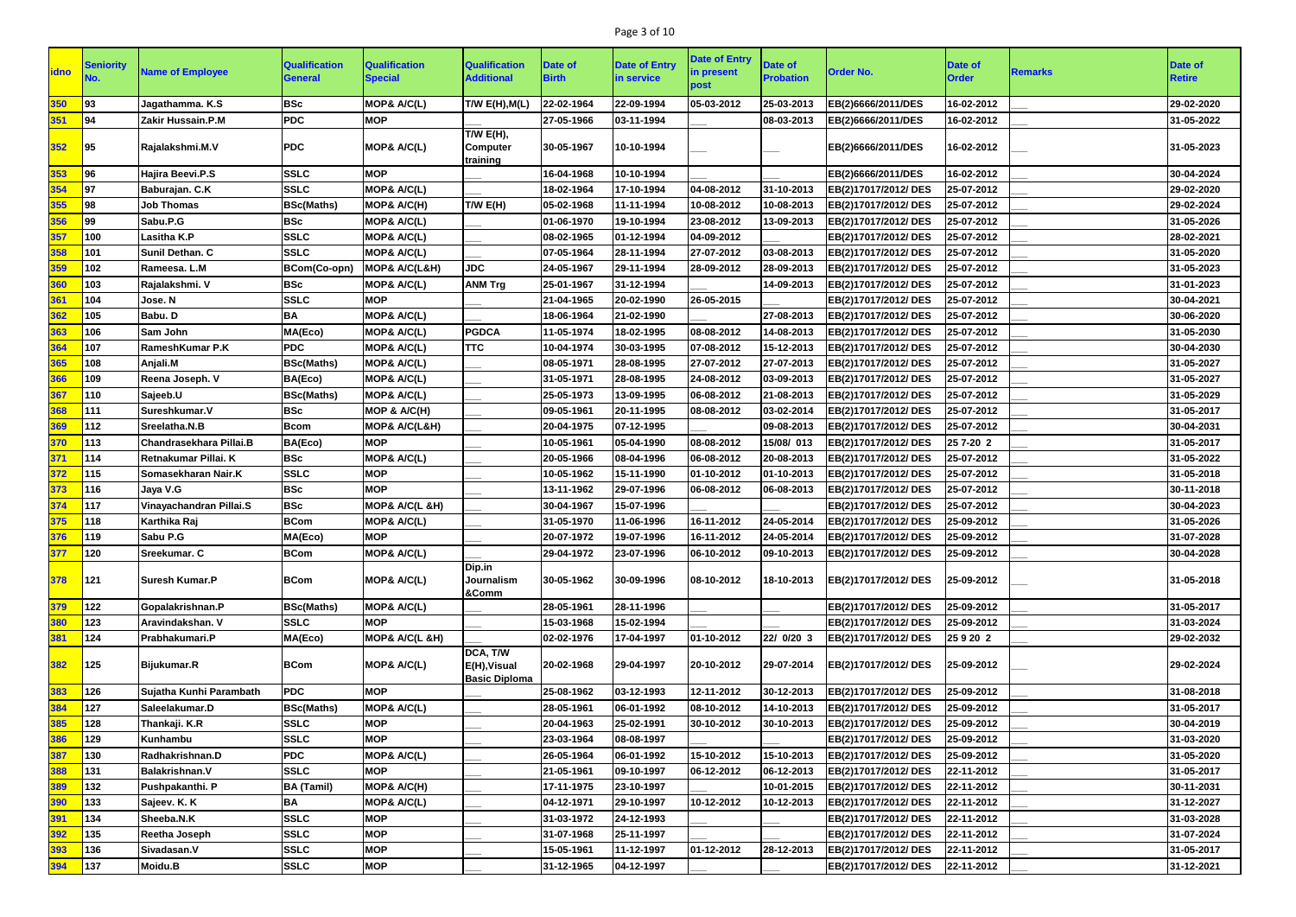# Page 3 of 10

|             |                  |                         |                      |                        |                                                  |              |                      | <b>Date of Entry</b> |                  |                      |              |                |                |
|-------------|------------------|-------------------------|----------------------|------------------------|--------------------------------------------------|--------------|----------------------|----------------------|------------------|----------------------|--------------|----------------|----------------|
| <b>idno</b> | <b>Seniority</b> | <b>Name of Employee</b> | <b>Qualification</b> | <b>Qualification</b>   | <b>Qualification</b>                             | Date of      | <b>Date of Entry</b> | in present           | <b>Date of</b>   | <b>Order No.</b>     | Date of      | <b>Remarks</b> | <b>Date of</b> |
|             | No.              |                         | <b>General</b>       | <b>Special</b>         | <b>Additional</b>                                | <b>Birth</b> | in service           | post                 | <b>Probation</b> |                      | <b>Order</b> |                | <b>Retire</b>  |
| 350         | 93               | Jagathamma. K.S         | <b>BSc</b>           | <b>MOP&amp; A/C(L)</b> | <b>T/W E(H), M(L)</b>                            | 22-02-1964   | 22-09-1994           | 05-03-2012           | 25-03-2013       | EB(2)6666/2011/DES   | 16-02-2012   |                | 29-02-2020     |
| 351         | 94               | Zakir Hussain.P.M       | <b>PDC</b>           | <b>MOP</b>             |                                                  | 27-05-1966   | 03-11-1994           |                      | 08-03-2013       | EB(2)6666/2011/DES   | 16-02-2012   |                | 31-05-2022     |
| 352         | 95               | Rajalakshmi.M.V         | <b>PDC</b>           | MOP& A/C(L)            | T/W $E(H)$ ,<br><b>Computer</b><br>training      | 30-05-1967   | 10-10-1994           |                      |                  | EB(2)6666/2011/DES   | 16-02-2012   |                | 31-05-2023     |
| 353         | 96               | Hajira Beevi.P.S        | <b>SSLC</b>          | <b>MOP</b>             |                                                  | 16-04-1968   | 10-10-1994           |                      |                  | EB(2)6666/2011/DES   | 16-02-2012   |                | 30-04-2024     |
| 354         | 97               | Baburajan. C.K          | <b>SSLC</b>          | MOP& A/C(L)            |                                                  | 18-02-1964   | 17-10-1994           | 04-08-2012           | 31-10-2013       | EB(2)17017/2012/ DES | 25-07-2012   |                | 29-02-2020     |
| 355         | 98               | <b>Job Thomas</b>       | <b>BSc(Maths)</b>    | MOP& A/C(H)            | T/W E(H)                                         | 05-02-1968   | 11-11-1994           | 10-08-2012           | 10-08-2013       | EB(2)17017/2012/ DES | 25-07-2012   |                | 29-02-2024     |
| 356         | 99               | Sabu.P.G                | <b>BSc</b>           | MOP& A/C(L)            |                                                  | 01-06-1970   | 19-10-1994           | 23-08-2012           | 13-09-2013       | EB(2)17017/2012/ DES | 25-07-2012   |                | 31-05-2026     |
| 357         | 100              | Lasitha K.P             | <b>SSLC</b>          | MOP& A/C(L)            |                                                  | 08-02-1965   | 01-12-1994           | 04-09-2012           |                  | EB(2)17017/2012/ DES | 25-07-2012   |                | 28-02-2021     |
| 358         | 101              | Sunil Dethan. C         | <b>SSLC</b>          | MOP& A/C(L)            |                                                  | 07-05-1964   | 28-11-1994           | 27-07-2012           | 03-08-2013       | EB(2)17017/2012/ DES | 25-07-2012   |                | 31-05-2020     |
| 359         | 102              | Rameesa. L.M            | <b>BCom(Co-opn)</b>  | MOP& A/C(L&H)          | <b>JDC</b>                                       | 24-05-1967   | 29-11-1994           | 28-09-2012           | 28-09-2013       | EB(2)17017/2012/ DES | 25-07-2012   |                | 31-05-2023     |
| 360         | 103              | Rajalakshmi. V          | <b>BSc</b>           | MOP& A/C(L)            | <b>ANM Trg</b>                                   | 25-01-1967   | 31-12-1994           |                      | 14-09-2013       | EB(2)17017/2012/ DES | 25-07-2012   |                | 31-01-2023     |
| 361         | 104              | Jose. N                 | <b>SSLC</b>          | <b>MOP</b>             |                                                  | 21-04-1965   | 20-02-1990           | 26-05-2015           |                  | EB(2)17017/2012/ DES | 25-07-2012   |                | 30-04-2021     |
| 362         | 105              | Babu. D                 | BA                   | MOP& A/C(L)            |                                                  | 18-06-1964   | 21-02-1990           |                      | 27-08-2013       | EB(2)17017/2012/ DES | 25-07-2012   |                | 30-06-2020     |
| 363         | 106              | Sam John                | MA(Eco)              | MOP& A/C(L)            | <b>PGDCA</b>                                     | 11-05-1974   | 18-02-1995           | 08-08-2012           | 14-08-2013       | EB(2)17017/2012/ DES | 25-07-2012   |                | 31-05-2030     |
| 364         | 107              | RameshKumar P.K         | <b>PDC</b>           | MOP& A/C(L)            | <b>TTC</b>                                       | 10-04-1974   | 30-03-1995           | 07-08-2012           | 15-12-2013       | EB(2)17017/2012/ DES | 25-07-2012   |                | 30-04-2030     |
| 365         | 108              | Anjali.M                | <b>BSc(Maths)</b>    | MOP& A/C(L)            |                                                  | 08-05-1971   | 28-08-1995           | 27-07-2012           | 27-07-2013       | EB(2)17017/2012/ DES | 25-07-2012   |                | 31-05-2027     |
| 366         | 109              | Reena Joseph. V         | BA(Eco)              | MOP& A/C(L)            |                                                  | 31-05-1971   | 28-08-1995           | 24-08-2012           | 03-09-2013       | EB(2)17017/2012/ DES | 25-07-2012   |                | 31-05-2027     |
| 367         | 110              | Sajeeb.U                | <b>BSc(Maths)</b>    | MOP& A/C(L)            |                                                  | 25-05-1973   | 13-09-1995           | 06-08-2012           | 21-08-2013       | EB(2)17017/2012/ DES | 25-07-2012   |                | 31-05-2029     |
| 368         | 111              | Sureshkumar.V           | <b>BSc</b>           | MOP & A/C(H)           |                                                  | 09-05-1961   | 20-11-1995           | 08-08-2012           | 03-02-2014       | EB(2)17017/2012/ DES | 25-07-2012   |                | 31-05-2017     |
| 369         | 112              | Sreelatha.N.B           | <b>Bcom</b>          | MOP& A/C(L&H)          |                                                  | 20-04-1975   | 07-12-1995           |                      | 09-08-2013       | EB(2)17017/2012/ DES | 25-07-2012   |                | 30-04-2031     |
| 370         | 113              | Chandrasekhara Pillai.B | BA(Eco)              | <b>MOP</b>             |                                                  | 10-05-1961   | 05-04-1990           | 08-08-2012           | 15/08/ 013       | EB(2)17017/2012/ DES | 25 7-20 2    |                | 31-05-2017     |
| 371         | 114              | Retnakumar Pillai. K    | <b>BSc</b>           | MOP& A/C(L)            |                                                  | 20-05-1966   | 08-04-1996           | 06-08-2012           | 20-08-2013       | EB(2)17017/2012/DES  | 25-07-2012   |                | 31-05-2022     |
| 372         | 115              | Somasekharan Nair.K     | <b>SSLC</b>          | <b>MOP</b>             |                                                  | 10-05-1962   | 15-11-1990           | 01-10-2012           | 01-10-2013       | EB(2)17017/2012/ DES | 25-07-2012   |                | 31-05-2018     |
| 373         | 116              | Jaya V.G                | <b>BSc</b>           | <b>MOP</b>             |                                                  | 13-11-1962   | 29-07-1996           | 06-08-2012           | 06-08-2013       | EB(2)17017/2012/ DES | 25-07-2012   |                | 30-11-2018     |
| 374         | 117              | Vinayachandran Pillai.S | <b>BSc</b>           | MOP& A/C(L &H)         |                                                  | 30-04-1967   | 15-07-1996           |                      |                  | EB(2)17017/2012/ DES | 25-07-2012   |                | 30-04-2023     |
| 375         | 118              | Karthika Raj            | <b>BCom</b>          | MOP& A/C(L)            |                                                  | 31-05-1970   | 11-06-1996           | 16-11-2012           | 24-05-2014       | EB(2)17017/2012/ DES | 25-09-2012   |                | 31-05-2026     |
| 376         | 119              | Sabu P.G                | MA(Eco)              | <b>MOP</b>             |                                                  | 20-07-1972   | 19-07-1996           | 16-11-2012           | 24-05-2014       | EB(2)17017/2012/ DES | 25-09-2012   |                | 31-07-2028     |
| 377         | 120              | <b>Sreekumar. C</b>     | <b>BCom</b>          | MOP& A/C(L)            |                                                  | 29-04-1972   | 23-07-1996           | 06-10-2012           | 09-10-2013       | EB(2)17017/2012/ DES | 25-09-2012   |                | 30-04-2028     |
| 378         | 121              | Suresh Kumar.P          | <b>BCom</b>          | MOP& A/C(L)            | Dip.in<br>Journalism<br>&Comm                    | 30-05-1962   | 30-09-1996           | 08-10-2012           | 18-10-2013       | EB(2)17017/2012/ DES | 25-09-2012   |                | 31-05-2018     |
| 379         | 122              | Gopalakrishnan.P        | <b>BSc(Maths)</b>    | MOP& A/C(L)            |                                                  | 28-05-1961   | 28-11-1996           |                      |                  | EB(2)17017/2012/DES  | 25-09-2012   |                | 31-05-2017     |
| 380         | 123              | Aravindakshan. V        | <b>SSLC</b>          | <b>MOP</b>             |                                                  | 15-03-1968   | 15-02-1994           |                      |                  | EB(2)17017/2012/DES  | 25-09-2012   |                | 31-03-2024     |
| 381         | 124              | <b>Prabhakumari.P</b>   | MA(Eco)              | MOP& A/C(L &H)         |                                                  | 02-02-1976   | 17-04-1997           | 01-10-2012           | 22/ 0/20 3       | EB(2)17017/2012/ DES | 259202       |                | 29-02-2032     |
| 382         | 125              | <b>Bijukumar.R</b>      | <b>BCom</b>          | MOP& A/C(L)            | DCA, T/W<br>E(H), Visual<br><b>Basic Diploma</b> | 20-02-1968   | 29-04-1997           | 20-10-2012           | 29-07-2014       | EB(2)17017/2012/ DES | 25-09-2012   |                | 29-02-2024     |
| 383         | 126              | Sujatha Kunhi Parambath | <b>PDC</b>           | <b>MOP</b>             |                                                  | 25-08-1962   | 03-12-1993           | 12-11-2012           | 30-12-2013       | EB(2)17017/2012/ DES | 25-09-2012   |                | 31-08-2018     |
| 384         | 127              | Saleelakumar.D          | <b>BSc(Maths)</b>    | MOP& A/C(L)            |                                                  | 28-05-1961   | 06-01-1992           | 08-10-2012           | 14-10-2013       | EB(2)17017/2012/ DES | 25-09-2012   |                | 31-05-2017     |
| 385         | 128              | Thankaji. K.R           | <b>SSLC</b>          | <b>MOP</b>             |                                                  | 20-04-1963   | 25-02-1991           | 30-10-2012           | 30-10-2013       | EB(2)17017/2012/ DES | 25-09-2012   |                | 30-04-2019     |
| 386         | 129              | Kunhambu                | <b>SSLC</b>          | <b>MOP</b>             |                                                  | 23-03-1964   | 08-08-1997           |                      |                  | EB(2)17017/2012/DES  | 25-09-2012   |                | 31-03-2020     |
| 387         | 130              | Radhakrishnan.D         | <b>PDC</b>           | <b>MOP&amp; A/C(L)</b> |                                                  | 26-05-1964   | 06-01-1992           | 15-10-2012           | 15-10-2013       | EB(2)17017/2012/DES  | 25-09-2012   |                | 31-05-2020     |
| 388         | 131              | <b>Balakrishnan.V</b>   | <b>SSLC</b>          | <b>MOP</b>             |                                                  | 21-05-1961   | 09-10-1997           | 06-12-2012           | 06-12-2013       | EB(2)17017/2012/DES  | 22-11-2012   |                | 31-05-2017     |
| 389         | 132              | Pushpakanthi. P         | <b>BA</b> (Tamil)    | MOP& A/C(H)            |                                                  | 17-11-1975   | 23-10-1997           |                      | 10-01-2015       | EB(2)17017/2012/DES  | 22-11-2012   |                | 30-11-2031     |
| 390         | 133              | Sajeev. K. K            | <b>BA</b>            | <b>MOP&amp; A/C(L)</b> |                                                  | 04-12-1971   | 29-10-1997           | 10-12-2012           | 10-12-2013       | EB(2)17017/2012/ DES | 22-11-2012   |                | 31-12-2027     |
| 391         | 134              | Sheeba.N.K              | <b>SSLC</b>          | <b>MOP</b>             |                                                  | 31-03-1972   | 24-12-1993           |                      |                  | EB(2)17017/2012/DES  | 22-11-2012   |                | 31-03-2028     |
| 392         | 135              | Reetha Joseph           | <b>SSLC</b>          | <b>MOP</b>             |                                                  | 31-07-1968   | 25-11-1997           |                      |                  | EB(2)17017/2012/DES  | 22-11-2012   |                | 31-07-2024     |
| 393         | 136              | Sivadasan.V             | <b>SSLC</b>          | <b>MOP</b>             |                                                  | 15-05-1961   | 11-12-1997           | 01-12-2012           | 28-12-2013       | EB(2)17017/2012/DES  | 22-11-2012   |                | 31-05-2017     |
| 394         | 137              | Moidu.B                 | <b>SSLC</b>          | <b>MOP</b>             |                                                  | 31-12-1965   | 04-12-1997           |                      |                  | EB(2)17017/2012/DES  | 22-11-2012   |                | 31-12-2021     |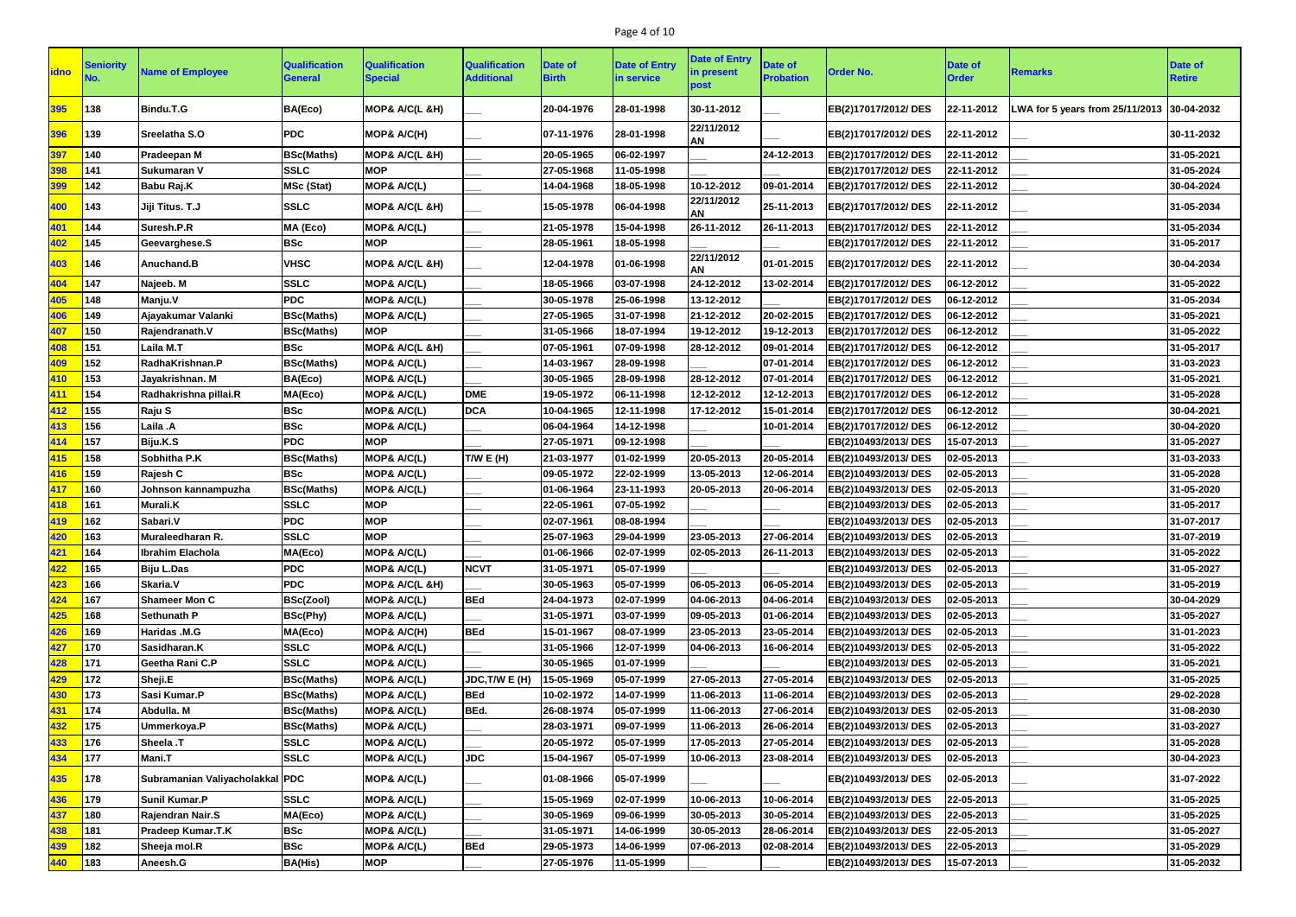# Page 4 of 10

| <u>idno</u> | Seniority | <b>Name of Employee</b>         | <b>Qualification</b><br><b>General</b> | <b>Qualification</b><br><b>Special</b> | <b>Qualification</b><br><b>Additional</b> | <b>Date of</b><br><b>Birth</b> | <b>Date of Entry</b><br>in service | <b>Date of Entry</b><br>in present<br>post | <b>Date of</b><br><b>Probation</b> | <b>Order No.</b>            | <b>Date of</b><br><b>Order</b> | <b>Remarks</b>                             | Date of<br><b>Retire</b> |
|-------------|-----------|---------------------------------|----------------------------------------|----------------------------------------|-------------------------------------------|--------------------------------|------------------------------------|--------------------------------------------|------------------------------------|-----------------------------|--------------------------------|--------------------------------------------|--------------------------|
| 395         | 138       | Bindu.T.G                       | BA(Eco)                                | MOP& A/C(L &H)                         |                                           | 20-04-1976                     | 28-01-1998                         | 30-11-2012                                 |                                    | EB(2)17017/2012/DES         | 22-11-2012                     | LWA for 5 years from 25/11/2013 30-04-2032 |                          |
| 396         | 139       | Sreelatha S.O                   | <b>PDC</b>                             | MOP& A/C(H)                            |                                           | 07-11-1976                     | 28-01-1998                         | 22/11/2012<br><b>AN</b>                    |                                    | EB(2)17017/2012/ DES        | 22-11-2012                     |                                            | 30-11-2032               |
| 397         | 140       | Pradeepan M                     | <b>BSc(Maths)</b>                      | MOP& A/C(L &H)                         |                                           | 20-05-1965                     | 06-02-1997                         |                                            | 24-12-2013                         | EB(2)17017/2012/ DES        | 22-11-2012                     |                                            | 31-05-2021               |
| 398         | 141       | <b>Sukumaran V</b>              | <b>SSLC</b>                            | <b>MOP</b>                             |                                           | 27-05-1968                     | 11-05-1998                         |                                            |                                    | EB(2)17017/2012/ DES        | 22-11-2012                     |                                            | 31-05-2024               |
| <b>399</b>  | 142       | <b>Babu Raj.K</b>               | <b>MSc (Stat)</b>                      | MOP& A/C(L)                            |                                           | 14-04-1968                     | 18-05-1998                         | 10-12-2012                                 | 09-01-2014                         | EB(2)17017/2012/ DES        | 22-11-2012                     |                                            | 30-04-2024               |
| 400         | 143       | Jiji Titus. T.J                 | <b>SSLC</b>                            | MOP& A/C(L &H)                         |                                           | 15-05-1978                     | 06-04-1998                         | 22/11/2012<br>AN                           | 25-11-2013                         | EB(2)17017/2012/ DES        | 22-11-2012                     |                                            | 31-05-2034               |
| 401         | 144       | Suresh.P.R                      | MA (Eco)                               | MOP& A/C(L)                            |                                           | 21-05-1978                     | 15-04-1998                         | 26-11-2012                                 | 26-11-2013                         | EB(2)17017/2012/ DES        | 22-11-2012                     |                                            | 31-05-2034               |
| 402         | 145       | Geevarghese.S                   | <b>BSc</b>                             | <b>MOP</b>                             |                                           | 28-05-1961                     | 18-05-1998                         |                                            |                                    | EB(2)17017/2012/ DES        | 22-11-2012                     |                                            | 31-05-2017               |
| 403         | 146       | Anuchand.B                      | <b>VHSC</b>                            | MOP& A/C(L &H)                         |                                           | 12-04-1978                     | 01-06-1998                         | 22/11/2012<br><b>AN</b>                    | 01-01-2015                         | EB(2)17017/2012/ DES        | 22-11-2012                     |                                            | 30-04-2034               |
| 404         | 147       | Najeeb. M                       | <b>SSLC</b>                            | MOP& A/C(L)                            |                                           | 18-05-1966                     | 03-07-1998                         | 24-12-2012                                 | 13-02-2014                         | EB(2)17017/2012/ DES        | 06-12-2012                     |                                            | 31-05-2022               |
| 405         | 148       | Manju.V                         | <b>PDC</b>                             | MOP& A/C(L)                            |                                           | 30-05-1978                     | 25-06-1998                         | 13-12-2012                                 |                                    | EB(2)17017/2012/ DES        | 06-12-2012                     |                                            | 31-05-2034               |
| 406         | 149       | Ajayakumar Valanki              | <b>BSc(Maths)</b>                      | MOP& A/C(L)                            |                                           | 27-05-1965                     | 31-07-1998                         | 21-12-2012                                 | 20-02-2015                         | EB(2)17017/2012/ DES        | 06-12-2012                     |                                            | 31-05-2021               |
| 407         | 150       | Rajendranath.V                  | <b>BSc(Maths)</b>                      | <b>MOP</b>                             |                                           | 31-05-1966                     | 18-07-1994                         | 19-12-2012                                 | 19-12-2013                         | EB(2)17017/2012/ DES        | 06-12-2012                     |                                            | 31-05-2022               |
| 408         | 151       | Laila M.T                       | <b>BSc</b>                             | MOP& A/C(L &H)                         |                                           | 07-05-1961                     | 07-09-1998                         | 28-12-2012                                 | 09-01-2014                         | EB(2)17017/2012/ DES        | 06-12-2012                     |                                            | 31-05-2017               |
| 409         | 152       | RadhaKrishnan.P                 | <b>BSc(Maths)</b>                      | MOP& A/C(L)                            |                                           | 14-03-1967                     | 28-09-1998                         |                                            | 07-01-2014                         | EB(2)17017/2012/ DES        | 06-12-2012                     |                                            | 31-03-2023               |
| 410         | 153       | Jayakrishnan. M                 | BA(Eco)                                | MOP& A/C(L)                            |                                           | 30-05-1965                     | 28-09-1998                         | 28-12-2012                                 | 07-01-2014                         | EB(2)17017/2012/ DES        | 06-12-2012                     |                                            | 31-05-2021               |
| 411         | 154       | Radhakrishna pillai.R           | MA(Eco)                                | MOP& A/C(L)                            | <b>DME</b>                                | 19-05-1972                     | 06-11-1998                         | 12-12-2012                                 | 12-12-2013                         | EB(2)17017/2012/ DES        | 06-12-2012                     |                                            | 31-05-2028               |
| 412         | 155       | Raju S                          | <b>BSc</b>                             | MOP& A/C(L)                            | <b>DCA</b>                                | 10-04-1965                     | 12-11-1998                         | 17-12-2012                                 | 15-01-2014                         | EB(2)17017/2012/ DES        | 06-12-2012                     |                                            | 30-04-2021               |
| 413         | 156       | Laila .A                        | <b>BSc</b>                             | <b>MOP&amp; A/C(L)</b>                 |                                           | 06-04-1964                     | 14-12-1998                         |                                            | 10-01-2014                         | EB(2)17017/2012/ DES        | 06-12-2012                     |                                            | 30-04-2020               |
| 414         | 157       | Biju.K.S                        | <b>PDC</b>                             | <b>MOP</b>                             |                                           | 27-05-1971                     | 09-12-1998                         |                                            |                                    | EB(2)10493/2013/DES         | 15-07-2013                     |                                            | 31-05-2027               |
| 415         | 158       | Sobhitha P.K                    | <b>BSc(Maths)</b>                      | MOP& A/C(L)                            | T/W E (H)                                 | 21-03-1977                     | 01-02-1999                         | 20-05-2013                                 | 20-05-2014                         | EB(2)10493/2013/DES         | 02-05-2013                     |                                            | 31-03-2033               |
| 416         | 159       | Rajesh C                        | <b>BSc</b>                             | MOP& A/C(L)                            |                                           | 09-05-1972                     | 22-02-1999                         | 13-05-2013                                 | 12-06-2014                         | EB(2)10493/2013/DES         | 02-05-2013                     |                                            | 31-05-2028               |
| 417         | 160       | Johnson kannampuzha             | <b>BSc(Maths)</b>                      | MOP& A/C(L)                            |                                           | 01-06-1964                     | 23-11-1993                         | 20-05-2013                                 | 20-06-2014                         | EB(2)10493/2013/DES         | 02-05-2013                     |                                            | 31-05-2020               |
| 418         | 161       | <b>Murali.K</b>                 | <b>SSLC</b>                            | <b>MOP</b>                             |                                           | 22-05-1961                     | 07-05-1992                         |                                            |                                    | EB(2)10493/2013/DES         | 02-05-2013                     |                                            | 31-05-2017               |
| 419         | 162       | Sabari.V                        | <b>PDC</b>                             | <b>MOP</b>                             |                                           | 02-07-1961                     | 08-08-1994                         |                                            |                                    | EB(2)10493/2013/DES         | 02-05-2013                     |                                            | 31-07-2017               |
| 420         | 163       | Muraleedharan R.                | SSLC                                   | <b>IMOP</b>                            |                                           | 25-07-1963                     | 29-04-1999                         | 23-05-2013                                 | 27-06-2014                         | <b>EB(2)10493/2013/ DES</b> | $ 02 - 05 - 2013 $             |                                            | 31-07-2019               |
| 421         | 164       | Ibrahim Elachola                | MA(Eco)                                | MOP& A/C(L)                            |                                           | 01-06-1966                     | 02-07-1999                         | 02-05-2013                                 | 26-11-2013                         | EB(2)10493/2013/DES         | 02-05-2013                     |                                            | 31-05-2022               |
| 422         | 165       | <b>Biju L.Das</b>               | <b>PDC</b>                             | MOP& A/C(L)                            | <b>NCVT</b>                               | 31-05-1971                     | 05-07-1999                         |                                            |                                    | EB(2)10493/2013/DES         | 02-05-2013                     |                                            | 31-05-2027               |
| 423         | 166       | Skaria.V                        | <b>PDC</b>                             | MOP& A/C(L &H)                         |                                           | 30-05-1963                     | 05-07-1999                         | 06-05-2013                                 | 06-05-2014                         | EB(2)10493/2013/DES         | 02-05-2013                     |                                            | 31-05-2019               |
| 424         | 167       | <b>Shameer Mon C</b>            | <b>BSc(Zool)</b>                       | MOP& A/C(L)                            | <b>BEd</b>                                | 24-04-1973                     | 02-07-1999                         | 04-06-2013                                 | 04-06-2014                         | EB(2)10493/2013/DES         | 02-05-2013                     |                                            | 30-04-2029               |
| 425         | 168       | Sethunath P                     | <b>BSc(Phy)</b>                        | MOP& A/C(L)                            |                                           | 31-05-1971                     | 03-07-1999                         | 09-05-2013                                 | 01-06-2014                         | EB(2)10493/2013/DES         | 02-05-2013                     |                                            | 31-05-2027               |
| 426         | 169       | Haridas .M.G                    | MA(Eco)                                | MOP& A/C(H)                            | <b>BEd</b>                                | 15-01-1967                     | 08-07-1999                         | 23-05-2013                                 | 23-05-2014                         | EB(2)10493/2013/DES         | 02-05-2013                     |                                            | 31-01-2023               |
| 427         | 170       | Sasidharan.K                    | <b>SSLC</b>                            | MOP& A/C(L)                            |                                           | 31-05-1966                     | 12-07-1999                         | 04-06-2013                                 | 16-06-2014                         | EB(2)10493/2013/DES         | 02-05-2013                     |                                            | 31-05-2022               |
| 428         | 171       | Geetha Rani C.P                 | <b>SSLC</b>                            | MOP& A/C(L)                            |                                           | 30-05-1965                     | 01-07-1999                         |                                            |                                    | EB(2)10493/2013/DES         | 02-05-2013                     |                                            | 31-05-2021               |
| 429         | 172       | Sheji.E                         | <b>BSc(Maths)</b>                      | MOP& A/C(L)                            | JDC, T/W E (H)                            | 15-05-1969                     | 05-07-1999                         | 27-05-2013                                 | 27-05-2014                         | EB(2)10493/2013/DES         | 02-05-2013                     |                                            | 31-05-2025               |
| 430         | 173       | Sasi Kumar.P                    | <b>BSc(Maths)</b>                      | MOP& A/C(L)                            | <b>BEd</b>                                | 10-02-1972                     | 14-07-1999                         | 11-06-2013                                 | 11-06-2014                         | EB(2)10493/2013/DES         | 02-05-2013                     |                                            | 29-02-2028               |
| 431         | 174       | Abdulla. M                      | <b>BSc(Maths)</b>                      | MOP& A/C(L)                            | BEd.                                      | 26-08-1974                     | 05-07-1999                         | 11-06-2013                                 | 27-06-2014                         | EB(2)10493/2013/DES         | 02-05-2013                     |                                            | 31-08-2030               |
| 432         | 175       | Ummerkoya.P                     | <b>BSc(Maths)</b>                      | MOP& A/C(L)                            |                                           | 28-03-1971                     | 09-07-1999                         | 11-06-2013                                 | 26-06-2014                         | EB(2)10493/2013/DES         | 02-05-2013                     |                                            | 31-03-2027               |
| 433         | 176       | Sheela .T                       | <b>SSLC</b>                            | MOP& A/C(L)                            |                                           | 20-05-1972                     | 05-07-1999                         | 17-05-2013                                 | 27-05-2014                         | EB(2)10493/2013/DES         | 02-05-2013                     |                                            | 31-05-2028               |
| 434         | 177       | <b>Mani.T</b>                   | <b>SSLC</b>                            | MOP& A/C(L)                            | <b>JDC</b>                                | 15-04-1967                     | 05-07-1999                         | 10-06-2013                                 | 23-08-2014                         | EB(2)10493/2013/DES         | 02-05-2013                     |                                            | 30-04-2023               |
| 435         | 178       | Subramanian Valiyacholakkal PDC |                                        | <b>MOP&amp; A/C(L)</b>                 |                                           | 01-08-1966                     | 05-07-1999                         |                                            |                                    | EB(2)10493/2013/DES         | 02-05-2013                     |                                            | 31-07-2022               |
| 436         | 179       | <b>Sunil Kumar.P</b>            | <b>SSLC</b>                            | MOP& A/C(L)                            |                                           | 15-05-1969                     | 02-07-1999                         | 10-06-2013                                 | 10-06-2014                         | EB(2)10493/2013/DES         | 22-05-2013                     |                                            | 31-05-2025               |
| 437         | 180       | Rajendran Nair.S                | MA(Eco)                                | MOP& A/C(L)                            |                                           | 30-05-1969                     | 09-06-1999                         | 30-05-2013                                 | 30-05-2014                         | EB(2)10493/2013/DES         | 22-05-2013                     |                                            | 31-05-2025               |
| 438         | 181       | <b>Pradeep Kumar.T.K</b>        | <b>BSc</b>                             | MOP& A/C(L)                            |                                           | 31-05-1971                     | 14-06-1999                         | 30-05-2013                                 | 28-06-2014                         | EB(2)10493/2013/DES         | 22-05-2013                     |                                            | 31-05-2027               |
| 439         | 182       | Sheeja mol.R                    | <b>BSc</b>                             | MOP& A/C(L)                            | <b>BEd</b>                                | 29-05-1973                     | 14-06-1999                         | 07-06-2013                                 | 02-08-2014                         | EB(2)10493/2013/DES         | 22-05-2013                     |                                            | 31-05-2029               |
| 440         | 183       | Aneesh.G                        | <b>BA(His)</b>                         | <b>MOP</b>                             |                                           | 27-05-1976                     | 11-05-1999                         |                                            |                                    | EB(2)10493/2013/DES         | 15-07-2013                     |                                            | 31-05-2032               |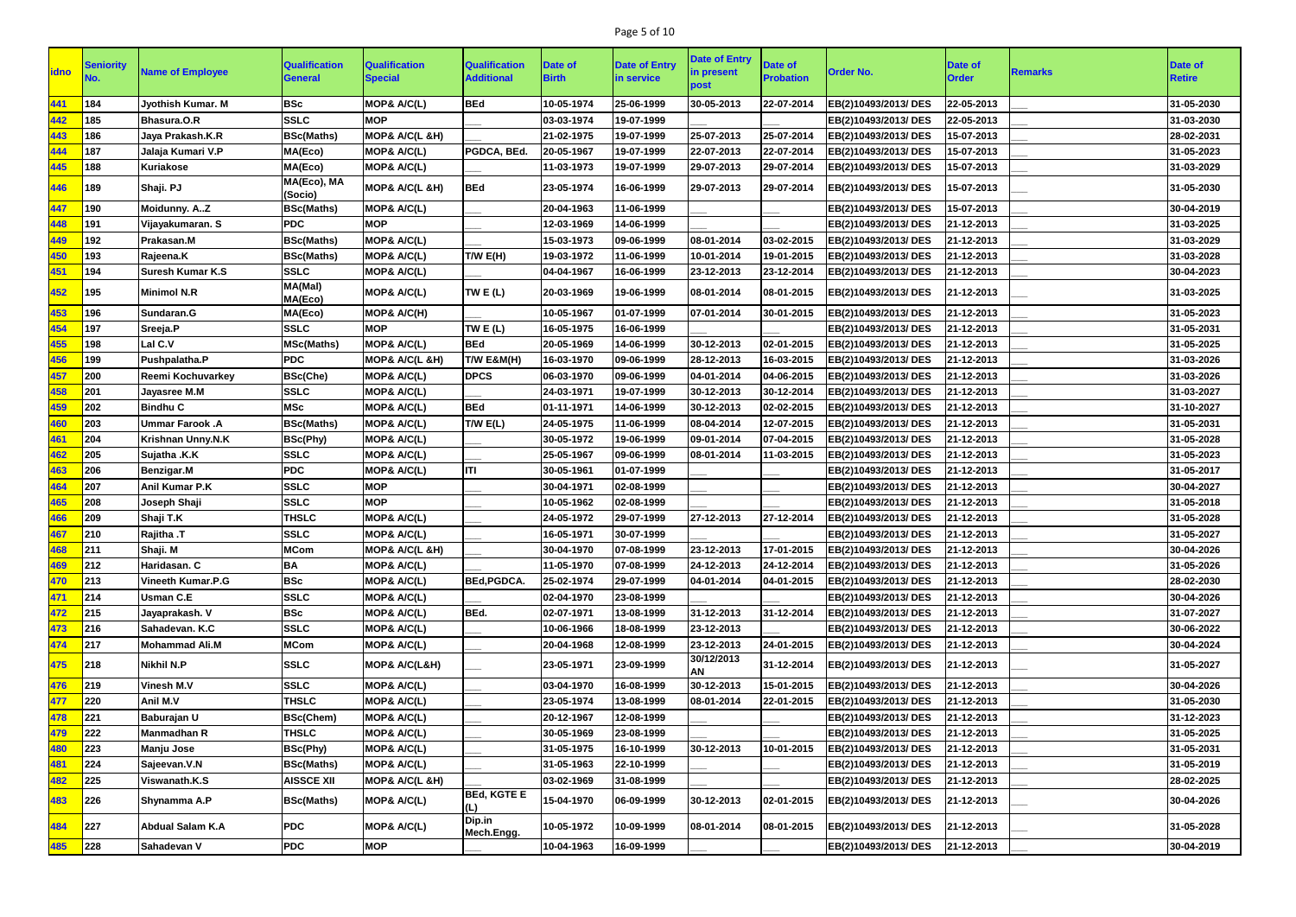# Page 5 of 10

| <b>idno</b> | <b>Seniority</b> | <b>Name of Employee</b>  | <b>Qualification</b><br><b>General</b> | <b>Qualification</b><br><b>Special</b> | <b>Qualification</b><br><b>Additional</b> | <b>Date of</b><br><b>Birth</b> | <b>Date of Entry</b><br>in service | <b>Date of Entry</b><br>in present<br>post | <b>Date of</b><br><b>Probation</b> | <b>Order No.</b>     | <b>Date of</b><br><b>Order</b> | <b>Remarks</b> | Date of<br><b>Retire</b> |
|-------------|------------------|--------------------------|----------------------------------------|----------------------------------------|-------------------------------------------|--------------------------------|------------------------------------|--------------------------------------------|------------------------------------|----------------------|--------------------------------|----------------|--------------------------|
| 441         | 184              | Jyothish Kumar. M        | <b>BSc</b>                             | MOP& A/C(L)                            | <b>BEd</b>                                | 10-05-1974                     | 25-06-1999                         | 30-05-2013                                 | 22-07-2014                         | EB(2)10493/2013/DES  | 22-05-2013                     |                | 31-05-2030               |
| 442         | 185              | Bhasura.O.R              | <b>SSLC</b>                            | <b>MOP</b>                             |                                           | 03-03-1974                     | 19-07-1999                         |                                            |                                    | EB(2)10493/2013/DES  | 22-05-2013                     |                | 31-03-2030               |
| 443         | 186              | Jaya Prakash.K.R         | <b>BSc(Maths)</b>                      | MOP& A/C(L &H)                         |                                           | 21-02-1975                     | 19-07-1999                         | 25-07-2013                                 | 25-07-2014                         | EB(2)10493/2013/DES  | 15-07-2013                     |                | 28-02-2031               |
| 444         | 187              | Jalaja Kumari V.P        | MA(Eco)                                | MOP& A/C(L)                            | PGDCA, BEd.                               | 20-05-1967                     | 19-07-1999                         | 22-07-2013                                 | 22-07-2014                         | EB(2)10493/2013/ DES | 15-07-2013                     |                | 31-05-2023               |
| 445         | 188              | <b>Kuriakose</b>         | MA(Eco)                                | MOP& A/C(L)                            |                                           | 11-03-1973                     | 19-07-1999                         | 29-07-2013                                 | 29-07-2014                         | EB(2)10493/2013/DES  | 15-07-2013                     |                | 31-03-2029               |
| 446         | 189              | Shaji. PJ                | MA(Eco), MA<br>(Socio)                 | MOP& A/C(L &H)                         | <b>BEd</b>                                | 23-05-1974                     | 16-06-1999                         | 29-07-2013                                 | 29-07-2014                         | EB(2)10493/2013/DES  | 15-07-2013                     |                | 31-05-2030               |
| 447         | 190              | Moidunny. AZ             | <b>BSc(Maths)</b>                      | MOP& A/C(L)                            |                                           | 20-04-1963                     | 11-06-1999                         |                                            |                                    | EB(2)10493/2013/DES  | 15-07-2013                     |                | 30-04-2019               |
| 448         | 191              | Vijayakumaran. S         | <b>PDC</b>                             | <b>MOP</b>                             |                                           | 12-03-1969                     | 14-06-1999                         |                                            |                                    | EB(2)10493/2013/DES  | 21-12-2013                     |                | 31-03-2025               |
| 449         | 192              | Prakasan.M               | <b>BSc(Maths)</b>                      | MOP& A/C(L)                            |                                           | 15-03-1973                     | 09-06-1999                         | 08-01-2014                                 | 03-02-2015                         | EB(2)10493/2013/DES  | 21-12-2013                     |                | 31-03-2029               |
| 450         | 193              | Rajeena.K                | <b>BSc(Maths)</b>                      | MOP& A/C(L)                            | T/W E(H)                                  | 19-03-1972                     | 11-06-1999                         | 10-01-2014                                 | 19-01-2015                         | EB(2)10493/2013/DES  | 21-12-2013                     |                | 31-03-2028               |
| 451         | 194              | <b>Suresh Kumar K.S</b>  | <b>SSLC</b>                            | MOP& A/C(L)                            |                                           | 04-04-1967                     | 16-06-1999                         | 23-12-2013                                 | 23-12-2014                         | EB(2)10493/2013/DES  | 21-12-2013                     |                | 30-04-2023               |
| 452         | 195              | <b>Minimol N.R</b>       | MA(Mal)<br>MA(Eco)                     | MOP& A/C(L)                            | TW E (L)                                  | 20-03-1969                     | 19-06-1999                         | 08-01-2014                                 | 08-01-2015                         | EB(2)10493/2013/DES  | 21-12-2013                     |                | 31-03-2025               |
| 453         | 196              | Sundaran.G               | MA(Eco)                                | MOP& A/C(H)                            |                                           | 10-05-1967                     | 01-07-1999                         | 07-01-2014                                 | 30-01-2015                         | EB(2)10493/2013/DES  | 21-12-2013                     |                | 31-05-2023               |
| 454         | 197              | Sreeja.P                 | <b>SSLC</b>                            | <b>MOP</b>                             | TWE $(L)$                                 | 16-05-1975                     | 16-06-1999                         |                                            |                                    | EB(2)10493/2013/DES  | 21-12-2013                     |                | 31-05-2031               |
| 455         | 198              | Lal C.V                  | <b>MSc(Maths)</b>                      | MOP& A/C(L)                            | <b>BEd</b>                                | 20-05-1969                     | 14-06-1999                         | 30-12-2013                                 | 02-01-2015                         | EB(2)10493/2013/DES  | 21-12-2013                     |                | 31-05-2025               |
| 456         | 199              | Pushpalatha.P            | <b>PDC</b>                             | MOP& A/C(L &H)                         | T/W E&M(H)                                | 16-03-1970                     | 09-06-1999                         | 28-12-2013                                 | 16-03-2015                         | EB(2)10493/2013/DES  | 21-12-2013                     |                | 31-03-2026               |
| 457         | 200              | Reemi Kochuvarkey        | <b>BSc(Che)</b>                        | MOP& A/C(L)                            | <b>DPCS</b>                               | 06-03-1970                     | 09-06-1999                         | 04-01-2014                                 | 04-06-2015                         | EB(2)10493/2013/DES  | 21-12-2013                     |                | 31-03-2026               |
| 458         | 201              | Jayasree M.M             | <b>SSLC</b>                            | MOP& A/C(L)                            |                                           | 24-03-1971                     | 19-07-1999                         | 30-12-2013                                 | 30-12-2014                         | EB(2)10493/2013/DES  | 21-12-2013                     |                | 31-03-2027               |
| 459         | 202              | <b>Bindhu C</b>          | <b>MSc</b>                             | MOP& A/C(L)                            | <b>BEd</b>                                | 01-11-1971                     | 14-06-1999                         | 30-12-2013                                 | 02-02-2015                         | EB(2)10493/2013/ DES | 21-12-2013                     |                | 31-10-2027               |
| 460         | 203              | <b>Ummar Farook.A</b>    | <b>BSc(Maths)</b>                      | MOP& A/C(L)                            | T/W E(L)                                  | 24-05-1975                     | 11-06-1999                         | 08-04-2014                                 | 12-07-2015                         | EB(2)10493/2013/DES  | 21-12-2013                     |                | 31-05-2031               |
| 461         | 204              | Krishnan Unny.N.K        | <b>BSc(Phy)</b>                        | MOP& A/C(L)                            |                                           | 30-05-1972                     | 19-06-1999                         | 09-01-2014                                 | 07-04-2015                         | EB(2)10493/2013/DES  | 21-12-2013                     |                | 31-05-2028               |
| 462         | 205              | Sujatha .K.K             | <b>SSLC</b>                            | MOP& A/C(L)                            |                                           | 25-05-1967                     | 09-06-1999                         | 08-01-2014                                 | 11-03-2015                         | EB(2)10493/2013/DES  | 21-12-2013                     |                | 31-05-2023               |
| 463         | 206              | Benzigar.M               | <b>PDC</b>                             | <b>MOP&amp; A/C(L)</b>                 | ITI                                       | 30-05-1961                     | 01-07-1999                         |                                            |                                    | EB(2)10493/2013/DES  | 21-12-2013                     |                | 31-05-2017               |
| 464         | 207              | <b>Anil Kumar P.K</b>    | <b>SSLC</b>                            | <b>MOP</b>                             |                                           | 30-04-1971                     | 02-08-1999                         |                                            |                                    | EB(2)10493/2013/ DES | 21-12-2013                     |                | 30-04-2027               |
| 465         | 208              | Joseph Shaji             | <b>SSLC</b>                            | <b>MOP</b>                             |                                           | 10-05-1962                     | 02-08-1999                         |                                            |                                    | EB(2)10493/2013/ DES | 21-12-2013                     |                | 31-05-2018               |
| 466         | 209              | Shaji T.K                | <b>THSLC</b>                           | MOP& A/C(L)                            |                                           | 24-05-1972                     | 29-07-1999                         | 27-12-2013                                 | 27-12-2014                         | EB(2)10493/2013/DES  | 21-12-2013                     |                | 31-05-2028               |
| 467         | 210              | Rajitha .T               | <b>SSLC</b>                            | MOP& A/C(L)                            |                                           | 16-05-1971                     | 30-07-1999                         |                                            |                                    | EB(2)10493/2013/DES  | 21-12-2013                     |                | 31-05-2027               |
| 468         | 211              | Shaji. M                 | <b>MCom</b>                            | MOP& A/C(L &H)                         |                                           | 30-04-1970                     | 07-08-1999                         | 23-12-2013                                 | 17-01-2015                         | EB(2)10493/2013/DES  | 21-12-2013                     |                | 30-04-2026               |
| 469         | 212              | Haridasan. C             | BA                                     | MOP& A/C(L)                            |                                           | 11-05-1970                     | 07-08-1999                         | 24-12-2013                                 | 24-12-2014                         | EB(2)10493/2013/DES  | 21-12-2013                     |                | 31-05-2026               |
| 470         | 213              | <b>Vineeth Kumar.P.G</b> | <b>BSc</b>                             | MOP& A/C(L)                            | <b>BEd, PGDCA.</b>                        | 25-02-1974                     | 29-07-1999                         | 04-01-2014                                 | 04-01-2015                         | EB(2)10493/2013/DES  | 21-12-2013                     |                | 28-02-2030               |
| 471         | 214              | <b>Usman C.E</b>         | <b>SSLC</b>                            | MOP& A/C(L)                            |                                           | 02-04-1970                     | 23-08-1999                         |                                            |                                    | EB(2)10493/2013/DES  | 21-12-2013                     |                | 30-04-2026               |
| 472         | 215              | Jayaprakash. V           | <b>BSc</b>                             | MOP& A/C(L)                            | BEd.                                      | 02-07-1971                     | 13-08-1999                         | 31-12-2013                                 | 31-12-2014                         | EB(2)10493/2013/DES  | 21-12-2013                     |                | 31-07-2027               |
| 473         | 216              | Sahadevan. K.C           | <b>SSLC</b>                            | MOP& A/C(L)                            |                                           | 10-06-1966                     | 18-08-1999                         | 23-12-2013                                 |                                    | EB(2)10493/2013/DES  | 21-12-2013                     |                | 30-06-2022               |
| 474         | 217              | <b>Mohammad Ali.M</b>    | <b>MCom</b>                            | MOP& A/C(L)                            |                                           | 20-04-1968                     | 12-08-1999                         | 23-12-2013                                 | 24-01-2015                         | EB(2)10493/2013/DES  | 21-12-2013                     |                | 30-04-2024               |
| 475         | 218              | <b>Nikhil N.P</b>        | <b>SSLC</b>                            | <b>MOP&amp; A/C(L&amp;H)</b>           |                                           | 23-05-1971                     | 23-09-1999                         | 30/12/2013<br><b>AN</b>                    | 31-12-2014                         | EB(2)10493/2013/DES  | 21-12-2013                     |                | 31-05-2027               |
| 476         | 219              | Vinesh M.V               | <b>SSLC</b>                            | MOP& A/C(L)                            |                                           | 03-04-1970                     | 16-08-1999                         | 30-12-2013                                 | 15-01-2015                         | EB(2)10493/2013/DES  | 21-12-2013                     |                | 30-04-2026               |
| 477         | 220              | Anil M.V                 | <b>THSLC</b>                           | MOP& A/C(L)                            |                                           | 23-05-1974                     | 13-08-1999                         | 08-01-2014                                 | 22-01-2015                         | EB(2)10493/2013/DES  | 21-12-2013                     |                | 31-05-2030               |
| 478         | 221              | <b>Baburajan U</b>       | <b>BSc(Chem)</b>                       | MOP& A/C(L)                            |                                           | 20-12-1967                     | 12-08-1999                         |                                            |                                    | EB(2)10493/2013/DES  | 21-12-2013                     |                | 31-12-2023               |
| 479         | 222              | <b>Manmadhan R</b>       | <b>THSLC</b>                           | MOP& A/C(L)                            |                                           | 30-05-1969                     | 23-08-1999                         |                                            |                                    | EB(2)10493/2013/DES  | 21-12-2013                     |                | 31-05-2025               |
| 480         | 223              | <b>Manju Jose</b>        | <b>BSc(Phy)</b>                        | MOP& A/C(L)                            |                                           | 31-05-1975                     | 16-10-1999                         | 30-12-2013                                 | 10-01-2015                         | EB(2)10493/2013/DES  | 21-12-2013                     |                | 31-05-2031               |
| 481         | 224              | Sajeevan.V.N             | <b>BSc(Maths)</b>                      | MOP& A/C(L)                            |                                           | 31-05-1963                     | 22-10-1999                         |                                            |                                    | EB(2)10493/2013/DES  | 21-12-2013                     |                | 31-05-2019               |
| 482         | 225              | Viswanath.K.S            | <b>AISSCE XII</b>                      | MOP& A/C(L &H)                         |                                           | 03-02-1969                     | 31-08-1999                         |                                            |                                    | EB(2)10493/2013/DES  | 21-12-2013                     |                | 28-02-2025               |
| 483         | 226              | Shynamma A.P             | <b>BSc(Maths)</b>                      | MOP& A/C(L)                            | <b>BEd, KGTE E</b><br>(L)                 | 15-04-1970                     | 06-09-1999                         | 30-12-2013                                 | 02-01-2015                         | EB(2)10493/2013/ DES | 21-12-2013                     |                | 30-04-2026               |
| 484         | 227              | <b>Abdual Salam K.A</b>  | <b>PDC</b>                             | <b>MOP&amp; A/C(L)</b>                 | Dip.in<br>Mech.Engg.                      | 10-05-1972                     | 10-09-1999                         | 08-01-2014                                 | 08-01-2015                         | EB(2)10493/2013/DES  | 21-12-2013                     |                | 31-05-2028               |
| 485         | 228              | Sahadevan V              | <b>PDC</b>                             | <b>MOP</b>                             |                                           | 10-04-1963                     | 16-09-1999                         |                                            |                                    | EB(2)10493/2013/DES  | 21-12-2013                     |                | 30-04-2019               |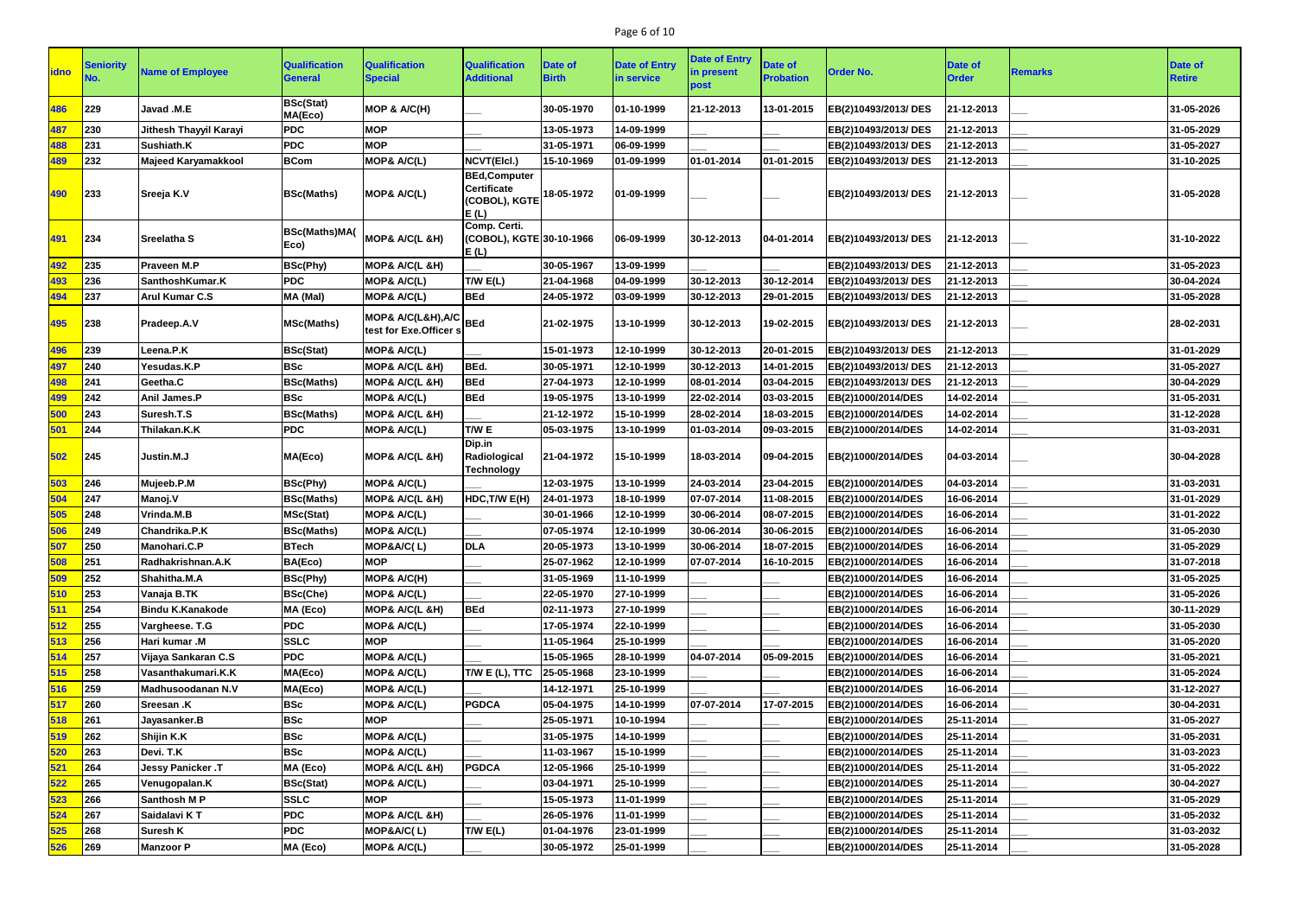# Page 6 of 10

| <b>idno</b> | <b>Seniority</b><br>NO. | <b>Name of Employee</b>    | <b>Qualification</b><br>General | <b>Qualification</b><br><b>Special</b>           | <b>Qualification</b><br><b>Additional</b>                          | <b>Date of</b><br><b>Birth</b> | <b>Date of Entry</b><br>in service | <b>Date of Entry</b><br>in present<br>post | <b>Date of</b><br><b>Probation</b> | <b>Order No.</b>     | <b>Date of</b><br><b>Order</b> | <b>Remarks</b> | Date of<br><b>Retire</b> |
|-------------|-------------------------|----------------------------|---------------------------------|--------------------------------------------------|--------------------------------------------------------------------|--------------------------------|------------------------------------|--------------------------------------------|------------------------------------|----------------------|--------------------------------|----------------|--------------------------|
| 486         | 229                     | Javad .M.E                 | <b>BSc(Stat)</b><br>MA(Eco)     | MOP & A/C(H)                                     |                                                                    | 30-05-1970                     | 01-10-1999                         | 21-12-2013                                 | 13-01-2015                         | EB(2)10493/2013/DES  | 21-12-2013                     |                | 31-05-2026               |
| 487         | 230                     | Jithesh Thayyil Karayi     | <b>PDC</b>                      | <b>MOP</b>                                       |                                                                    | 13-05-1973                     | 14-09-1999                         |                                            |                                    | EB(2)10493/2013/DES  | 21-12-2013                     |                | 31-05-2029               |
| 488         | 231                     | Sushiath.K                 | <b>PDC</b>                      | <b>MOP</b>                                       |                                                                    | 31-05-1971                     | 06-09-1999                         |                                            |                                    | EB(2)10493/2013/DES  | 21-12-2013                     |                | 31-05-2027               |
| 489         | 232                     | <b>Majeed Karyamakkool</b> | <b>BCom</b>                     | MOP& A/C(L)                                      | NCVT(Elcl.)                                                        | 15-10-1969                     | 01-09-1999                         | 01-01-2014                                 | 01-01-2015                         | EB(2)10493/2013/DES  | 21-12-2013                     |                | 31-10-2025               |
| 490         | 233                     | Sreeja K.V                 | <b>BSc(Maths)</b>               | MOP& A/C(L)                                      | <b>BEd,Computer</b><br><b>Certificate</b><br>(COBOL), KGTE<br>E(L) | 18-05-1972                     | 01-09-1999                         |                                            |                                    | EB(2)10493/2013/DES  | 21-12-2013                     |                | 31-05-2028               |
| 491         | 234                     | Sreelatha S                | <b>BSc(Maths)MA(</b><br>Eco)    | MOP& A/C(L &H)                                   | Comp. Certi.<br>(COBOL), KGTE 30-10-1966<br>E(L)                   |                                | 06-09-1999                         | 30-12-2013                                 | 04-01-2014                         | EB(2)10493/2013/DES  | 21-12-2013                     |                | 31-10-2022               |
| 492         | 235                     | <b>Praveen M.P</b>         | <b>BSc(Phy)</b>                 | MOP& A/C(L &H)                                   |                                                                    | 30-05-1967                     | 13-09-1999                         |                                            |                                    | EB(2)10493/2013/DES  | 21-12-2013                     |                | 31-05-2023               |
| 493         | 236                     | SanthoshKumar.K            | <b>PDC</b>                      | MOP& A/C(L)                                      | T/W E(L)                                                           | 21-04-1968                     | 04-09-1999                         | 30-12-2013                                 | 30-12-2014                         | EB(2)10493/2013/ DES | 21-12-2013                     |                | 30-04-2024               |
| 494         | 237                     | <b>Arul Kumar C.S</b>      | MA (Mal)                        | MOP& A/C(L)                                      | <b>BEd</b>                                                         | 24-05-1972                     | 03-09-1999                         | 30-12-2013                                 | 29-01-2015                         | EB(2)10493/2013/DES  | 21-12-2013                     |                | 31-05-2028               |
| 495         | 238                     | <b>Pradeep.A.V</b>         | <b>MSc(Maths)</b>               | MOP& A/C(L&H), A/C BEd<br>test for Exe.Officer s |                                                                    | 21-02-1975                     | 13-10-1999                         | 30-12-2013                                 | 19-02-2015                         | EB(2)10493/2013/ DES | 21-12-2013                     |                | 28-02-2031               |
| 496         | 239                     | Leena.P.K                  | <b>BSc(Stat)</b>                | MOP& A/C(L)                                      |                                                                    | 15-01-1973                     | 12-10-1999                         | 30-12-2013                                 | 20-01-2015                         | EB(2)10493/2013/DES  | 21-12-2013                     |                | 31-01-2029               |
| 497         | 240                     | Yesudas.K.P                | <b>BSc</b>                      | MOP& A/C(L &H)                                   | BEd.                                                               | 30-05-1971                     | 12-10-1999                         | 30-12-2013                                 | 14-01-2015                         | EB(2)10493/2013/ DES | 21-12-2013                     |                | 31-05-2027               |
| 498         | 241                     | Geetha.C                   | <b>BSc(Maths)</b>               | MOP& A/C(L &H)                                   | <b>BEd</b>                                                         | 27-04-1973                     | 12-10-1999                         | 08-01-2014                                 | 03-04-2015                         | EB(2)10493/2013/DES  | 21-12-2013                     |                | 30-04-2029               |
| 499         | 242                     | Anil James.P               | <b>BSc</b>                      | MOP& A/C(L)                                      | <b>BEd</b>                                                         | 19-05-1975                     | 13-10-1999                         | 22-02-2014                                 | 03-03-2015                         | EB(2)1000/2014/DES   | 14-02-2014                     |                | 31-05-2031               |
| 500         | 243                     | Suresh.T.S                 | <b>BSc(Maths)</b>               | MOP& A/C(L &H)                                   |                                                                    | 21-12-1972                     | 15-10-1999                         | 28-02-2014                                 | 18-03-2015                         | EB(2)1000/2014/DES   | 14-02-2014                     |                | 31-12-2028               |
| 501         | 244                     | Thilakan.K.K               | <b>PDC</b>                      | MOP& A/C(L)                                      | T/W E                                                              | 05-03-1975                     | 13-10-1999                         | 01-03-2014                                 | 09-03-2015                         | EB(2)1000/2014/DES   | 14-02-2014                     |                | 31-03-2031               |
| 502         | 245                     | Justin.M.J                 | MA(Eco)                         | MOP& A/C(L &H)                                   | Dip.in<br>Radiological<br><b>Technology</b>                        | 21-04-1972                     | 15-10-1999                         | 18-03-2014                                 | 09-04-2015                         | EB(2)1000/2014/DES   | 04-03-2014                     |                | 30-04-2028               |
| 503         | 246                     | Mujeeb.P.M                 | <b>BSc(Phy)</b>                 | MOP& A/C(L)                                      |                                                                    | 12-03-1975                     | 13-10-1999                         | 24-03-2014                                 | 23-04-2015                         | EB(2)1000/2014/DES   | 04-03-2014                     |                | 31-03-2031               |
| 504         | 247                     | Manoj.V                    | <b>BSc(Maths)</b>               | MOP& A/C(L &H)                                   | HDC, T/W E(H)                                                      | 24-01-1973                     | 18-10-1999                         | 07-07-2014                                 | 11-08-2015                         | EB(2)1000/2014/DES   | 16-06-2014                     |                | 31-01-2029               |
| 505         | 248                     | Vrinda.M.B                 | MSc(Stat)                       | MOP& A/C(L)                                      |                                                                    | 30-01-1966                     | 12-10-1999                         | 30-06-2014                                 | 08-07-2015                         | EB(2)1000/2014/DES   | 16-06-2014                     |                | 31-01-2022               |
| 506         | 249                     | Chandrika.P.K              | <b>BSc(Maths)</b>               | MOP& A/C(L)                                      |                                                                    | 07-05-1974                     | 12-10-1999                         | 30-06-2014                                 | 30-06-2015                         | EB(2)1000/2014/DES   | 16-06-2014                     |                | 31-05-2030               |
| 507         | 250                     | Manohari.C.P               | <b>BTech</b>                    | MOP&A/C(L)                                       | <b>DLA</b>                                                         | 20-05-1973                     | 13-10-1999                         | 30-06-2014                                 | 18-07-2015                         | EB(2)1000/2014/DES   | 16-06-2014                     |                | 31-05-2029               |
| 508         | 251                     | Radhakrishnan.A.K          | BA(Eco)                         | <b>MOP</b>                                       |                                                                    | 25-07-1962                     | 12-10-1999                         | 07-07-2014                                 | 16-10-2015                         | EB(2)1000/2014/DES   | 16-06-2014                     |                | 31-07-2018               |
| 509         | 252                     | Shahitha.M.A               | <b>BSc(Phy)</b>                 | MOP& A/C(H)                                      |                                                                    | 31-05-1969                     | 11-10-1999                         |                                            |                                    | EB(2)1000/2014/DES   | 16-06-2014                     |                | 31-05-2025               |
| 510         | 253                     | Vanaja B.TK                | <b>BSc(Che)</b>                 | MOP& A/C(L)                                      |                                                                    | 22-05-1970                     | 27-10-1999                         |                                            |                                    | EB(2)1000/2014/DES   | 16-06-2014                     |                | 31-05-2026               |
| 511         | 254                     | <b>Bindu K.Kanakode</b>    | MA (Eco)                        | MOP& A/C(L &H)                                   | <b>BEd</b>                                                         | 02-11-1973                     | 27-10-1999                         |                                            |                                    | EB(2)1000/2014/DES   | 16-06-2014                     |                | 30-11-2029               |
| 512         | 255                     | Vargheese. T.G             | <b>PDC</b>                      | MOP& A/C(L)                                      |                                                                    | 17-05-1974                     | 22-10-1999                         |                                            |                                    | EB(2)1000/2014/DES   | 16-06-2014                     |                | 31-05-2030               |
| 513         | 256                     | Hari kumar .M              | <b>SSLC</b>                     | <b>MOP</b>                                       |                                                                    | 11-05-1964                     | 25-10-1999                         |                                            |                                    | EB(2)1000/2014/DES   | 16-06-2014                     |                | 31-05-2020               |
| 514         | 257                     | Vijaya Sankaran C.S        | <b>PDC</b>                      | MOP& A/C(L)                                      |                                                                    | 15-05-1965                     | 28-10-1999                         | 04-07-2014                                 | 05-09-2015                         | EB(2)1000/2014/DES   | 16-06-2014                     |                | 31-05-2021               |
| 515         | 258                     | Vasanthakumari.K.K         | MA(Eco)                         | MOP& A/C(L)                                      | T/W E (L), TTC                                                     | 25-05-1968                     | 23-10-1999                         |                                            |                                    | EB(2)1000/2014/DES   | 16-06-2014                     |                | 31-05-2024               |
| 516         | 259                     | <b>Madhusoodanan N.V</b>   | MA(Eco)                         | MOP& A/C(L)                                      |                                                                    | 14-12-1971                     | 25-10-1999                         |                                            |                                    | EB(2)1000/2014/DES   | 16-06-2014                     |                | 31-12-2027               |
| 517         | 260                     | <b>Sreesan .K</b>          | <b>BSc</b>                      | MOP& A/C(L)                                      | <b>PGDCA</b>                                                       | 05-04-1975                     | 14-10-1999                         | 07-07-2014                                 | 17-07-2015                         | EB(2)1000/2014/DES   | 16-06-2014                     |                | 30-04-2031               |
| 518         | 261                     | Jayasanker.B               | <b>BSc</b>                      | <b>MOP</b>                                       |                                                                    | 25-05-1971                     | 10-10-1994                         |                                            |                                    | EB(2)1000/2014/DES   | 25-11-2014                     |                | 31-05-2027               |
| 519         | 262                     | Shijin K.K                 | <b>BSc</b>                      | MOP& A/C(L)                                      |                                                                    | 31-05-1975                     | 14-10-1999                         |                                            |                                    | EB(2)1000/2014/DES   | 25-11-2014                     |                | 31-05-2031               |
| 520         | 263                     | Devi. T.K                  | <b>BSc</b>                      | MOP& A/C(L)                                      |                                                                    | 11-03-1967                     | 15-10-1999                         |                                            |                                    | EB(2)1000/2014/DES   | 25-11-2014                     |                | 31-03-2023               |
| 521         | 264                     | Jessy Panicker .T          | MA (Eco)                        | MOP& A/C(L &H)                                   | <b>PGDCA</b>                                                       | 12-05-1966                     | 25-10-1999                         |                                            |                                    | EB(2)1000/2014/DES   | 25-11-2014                     |                | 31-05-2022               |
| 522         | 265                     | Venugopalan.K              | <b>BSc(Stat)</b>                | MOP& A/C(L)                                      |                                                                    | 03-04-1971                     | 25-10-1999                         |                                            |                                    | EB(2)1000/2014/DES   | 25-11-2014                     |                | 30-04-2027               |
| 523         | 266                     | Santhosh M P               | <b>SSLC</b>                     | <b>MOP</b>                                       |                                                                    | 15-05-1973                     | 11-01-1999                         |                                            |                                    | EB(2)1000/2014/DES   | 25-11-2014                     |                | 31-05-2029               |
| 524         | 267                     | Saidalavi KT               | <b>PDC</b>                      | MOP& A/C(L &H)                                   |                                                                    | 26-05-1976                     | 11-01-1999                         |                                            |                                    | EB(2)1000/2014/DES   | 25-11-2014                     |                | 31-05-2032               |
| 525         | 268                     | <b>Suresh K</b>            | <b>PDC</b>                      | MOP&A/C(L)                                       | T/W E(L)                                                           | 01-04-1976                     | 23-01-1999                         |                                            |                                    | EB(2)1000/2014/DES   | 25-11-2014                     |                | 31-03-2032               |
| 526         | 269                     | <b>Manzoor P</b>           | MA (Eco)                        | MOP& A/C(L)                                      |                                                                    | 30-05-1972                     | 25-01-1999                         |                                            |                                    | EB(2)1000/2014/DES   | 25-11-2014                     |                | 31-05-2028               |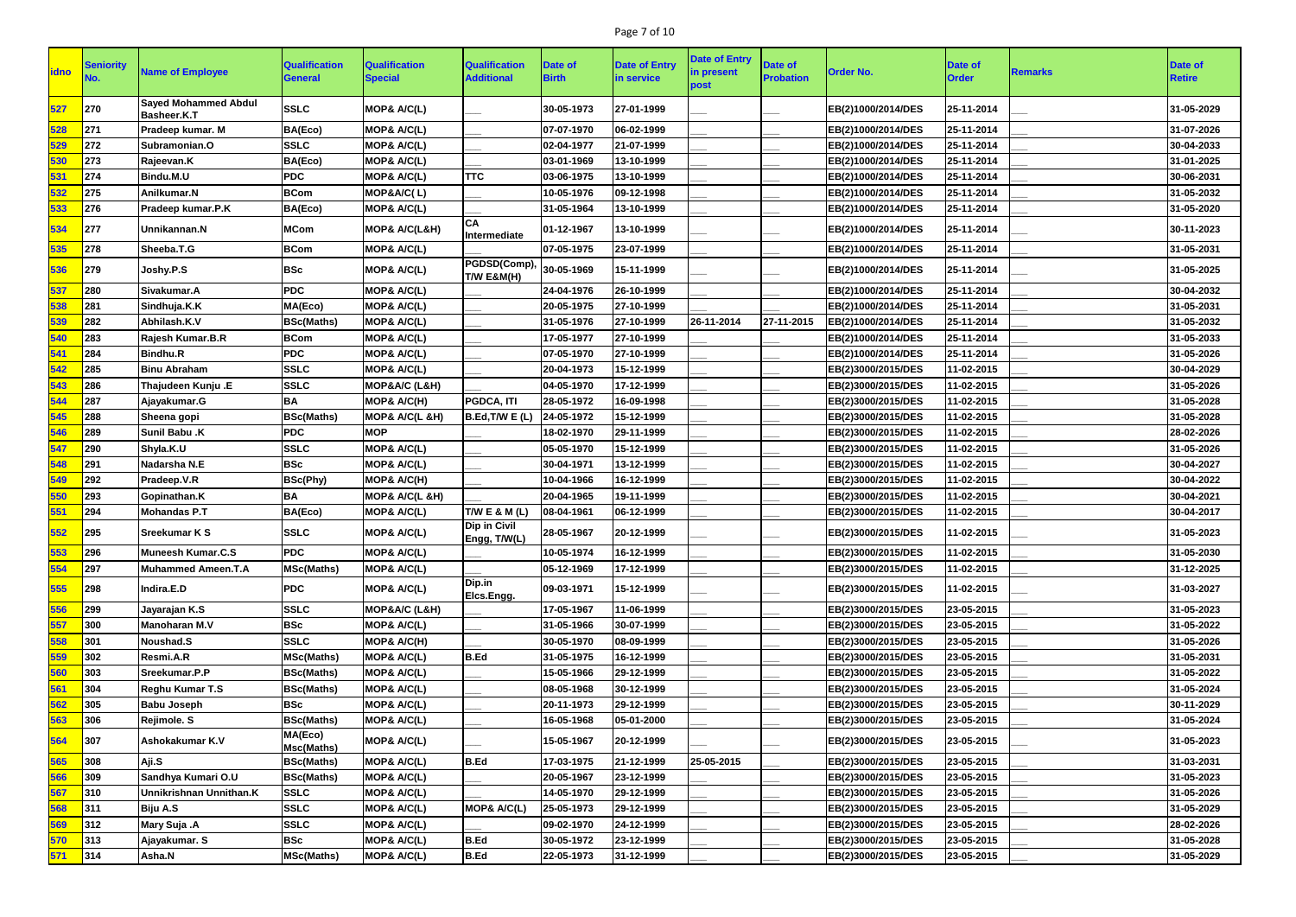# Page 7 of 10

| <b>idno</b> | <b>Seniority</b> | <b>Name of Employee</b>                    | <b>Qualification</b><br><b>General</b> | <b>Qualification</b><br><b>Special</b> | <b>Qualification</b><br><b>Additional</b>              | <b>Date of</b><br><b>Birth</b> | <b>Date of Entry</b><br>in service | <b>Date of Entry</b><br>in present<br>post | Date of<br><b>Probation</b> | <b>Order No.</b>   | <b>Date of</b><br><b>Order</b> | <b>Remarks</b> | Date of<br><b>Retire</b> |
|-------------|------------------|--------------------------------------------|----------------------------------------|----------------------------------------|--------------------------------------------------------|--------------------------------|------------------------------------|--------------------------------------------|-----------------------------|--------------------|--------------------------------|----------------|--------------------------|
| 527         | 270              | <b>Sayed Mohammed Abdul</b><br>Basheer.K.T | <b>SSLC</b>                            | MOP& A/C(L)                            |                                                        | 30-05-1973                     | 27-01-1999                         |                                            |                             | EB(2)1000/2014/DES | 25-11-2014                     |                | 31-05-2029               |
| 528         | 271              | Pradeep kumar. M                           | BA(Eco)                                | MOP& A/C(L)                            |                                                        | 07-07-1970                     | 06-02-1999                         |                                            |                             | EB(2)1000/2014/DES | 25-11-2014                     |                | 31-07-2026               |
| 529         | 272              | Subramonian.O                              | <b>SSLC</b>                            | MOP& A/C(L)                            |                                                        | 02-04-1977                     | 21-07-1999                         |                                            |                             | EB(2)1000/2014/DES | 25-11-2014                     |                | 30-04-2033               |
| 530         | 273              | Rajeevan.K                                 | BA(Eco)                                | MOP& A/C(L)                            |                                                        | 03-01-1969                     | 13-10-1999                         |                                            |                             | EB(2)1000/2014/DES | 25-11-2014                     |                | 31-01-2025               |
| 531         | 274              | Bindu.M.U                                  | <b>PDC</b>                             | MOP& A/C(L)                            | <b>TTC</b>                                             | 03-06-1975                     | 13-10-1999                         |                                            |                             | EB(2)1000/2014/DES | 25-11-2014                     |                | 30-06-2031               |
| 532         | 275              | Anilkumar.N                                | <b>BCom</b>                            | MOP&A/C(L)                             |                                                        | 10-05-1976                     | 09-12-1998                         |                                            |                             | EB(2)1000/2014/DES | 25-11-2014                     |                | 31-05-2032               |
| 533         | 276              | Pradeep kumar.P.K                          | BA(Eco)                                | MOP& A/C(L)                            |                                                        | 31-05-1964                     | 13-10-1999                         |                                            |                             | EB(2)1000/2014/DES | 25-11-2014                     |                | 31-05-2020               |
| 534         | 277              | Unnikannan.N                               | <b>MCom</b>                            | MOP& A/C(L&H)                          | <b>CA</b><br>Intermediate                              | 01-12-1967                     | 13-10-1999                         |                                            |                             | EB(2)1000/2014/DES | 25-11-2014                     |                | 30-11-2023               |
| 535         | 278              | Sheeba.T.G                                 | <b>BCom</b>                            | MOP& A/C(L)                            |                                                        | 07-05-1975                     | 23-07-1999                         |                                            |                             | EB(2)1000/2014/DES | 25-11-2014                     |                | 31-05-2031               |
| 536         | 279              | Joshy.P.S                                  | <b>BSc</b>                             | MOP& A/C(L)                            | $PGDSD(Comp),  _{30-05-1969}$<br><b>T/W E&amp;M(H)</b> |                                | 15-11-1999                         |                                            |                             | EB(2)1000/2014/DES | 25-11-2014                     |                | 31-05-2025               |
| 537         | 280              | Sivakumar.A                                | <b>PDC</b>                             | MOP& A/C(L)                            |                                                        | 24-04-1976                     | 26-10-1999                         |                                            |                             | EB(2)1000/2014/DES | 25-11-2014                     |                | 30-04-2032               |
| 538         | 281              | Sindhuja.K.K                               | MA(Eco)                                | MOP& A/C(L)                            |                                                        | 20-05-1975                     | 27-10-1999                         |                                            |                             | EB(2)1000/2014/DES | 25-11-2014                     |                | 31-05-2031               |
| 539         | 282              | Abhilash.K.V                               | <b>BSc(Maths)</b>                      | MOP& A/C(L)                            |                                                        | 31-05-1976                     | 27-10-1999                         | 26-11-2014                                 | 27-11-2015                  | EB(2)1000/2014/DES | 25-11-2014                     |                | 31-05-2032               |
| 540         | 283              | Rajesh Kumar.B.R                           | <b>BCom</b>                            | MOP& A/C(L)                            |                                                        | 17-05-1977                     | 27-10-1999                         |                                            |                             | EB(2)1000/2014/DES | 25-11-2014                     |                | 31-05-2033               |
| 541         | 284              | Bindhu.R                                   | <b>PDC</b>                             | MOP& A/C(L)                            |                                                        | 07-05-1970                     | 27-10-1999                         |                                            |                             | EB(2)1000/2014/DES | 25-11-2014                     |                | 31-05-2026               |
| 542         | 285              | <b>Binu Abraham</b>                        | <b>SSLC</b>                            | MOP& A/C(L)                            |                                                        | 20-04-1973                     | 15-12-1999                         |                                            |                             | EB(2)3000/2015/DES | 11-02-2015                     |                | 30-04-2029               |
| 543         | 286              | Thajudeen Kunju .E                         | <b>SSLC</b>                            | MOP&A/C (L&H)                          |                                                        | 04-05-1970                     | 17-12-1999                         |                                            |                             | EB(2)3000/2015/DES | 11-02-2015                     |                | 31-05-2026               |
| 544         | 287              | Ajayakumar.G                               | <b>BA</b>                              | MOP& A/C(H)                            | PGDCA, ITI                                             | 28-05-1972                     | 16-09-1998                         |                                            |                             | EB(2)3000/2015/DES | 11-02-2015                     |                | 31-05-2028               |
| 545         | 288              | Sheena gopi                                | <b>BSc(Maths)</b>                      | MOP& A/C(L &H)                         | B.Ed, T/W E (L)                                        | 24-05-1972                     | 15-12-1999                         |                                            |                             | EB(2)3000/2015/DES | 11-02-2015                     |                | 31-05-2028               |
| 546         | 289              | <b>Sunil Babu .K</b>                       | <b>PDC</b>                             | <b>MOP</b>                             |                                                        | 18-02-1970                     | 29-11-1999                         |                                            |                             | EB(2)3000/2015/DES | 11-02-2015                     |                | 28-02-2026               |
| 547         | 290              | Shyla.K.U                                  | <b>SSLC</b>                            | MOP& A/C(L)                            |                                                        | 05-05-1970                     | 15-12-1999                         |                                            |                             | EB(2)3000/2015/DES | 11-02-2015                     |                | 31-05-2026               |
| 548         | 291              | Nadarsha N.E                               | <b>BSc</b>                             | <b>MOP&amp; A/C(L)</b>                 |                                                        | 30-04-1971                     | 13-12-1999                         |                                            |                             | EB(2)3000/2015/DES | 11-02-2015                     |                | 30-04-2027               |
| 549         | 292              | Pradeep.V.R                                | <b>BSc(Phy)</b>                        | MOP& A/C(H)                            |                                                        | 10-04-1966                     | 16-12-1999                         |                                            |                             | EB(2)3000/2015/DES | 11-02-2015                     |                | 30-04-2022               |
| 550         | 293              | Gopinathan.K                               | <b>BA</b>                              | MOP& A/C(L &H)                         |                                                        | 20-04-1965                     | 19-11-1999                         |                                            |                             | EB(2)3000/2015/DES | 11-02-2015                     |                | 30-04-2021               |
| 551         | 294              | <b>Mohandas P.T</b>                        | BA(Eco)                                | MOP& A/C(L)                            | T/W E & M (L)                                          | 08-04-1961                     | 06-12-1999                         |                                            |                             | EB(2)3000/2015/DES | 11-02-2015                     |                | 30-04-2017               |
| 552         | 295              | <b>Sreekumar K S</b>                       | <b>SSLC</b>                            | MOP& A/C(L)                            | Dip in Civil<br>Engg, T/W(L)                           | 28-05-1967                     | 20-12-1999                         |                                            |                             | EB(2)3000/2015/DES | 11-02-2015                     |                | 31-05-2023               |
| 553         | 296              | Muneesh Kumar.C.S                          | <b>PDC</b>                             | MOP& A/C(L)                            |                                                        | 10-05-1974                     | 16-12-1999                         |                                            |                             | EB(2)3000/2015/DES | 11-02-2015                     |                | 31-05-2030               |
| 554         | 297              | Muhammed Ameen.T.A                         | <b>MSc(Maths)</b>                      | MOP& A/C(L)                            |                                                        | 05-12-1969                     | 17-12-1999                         |                                            |                             | EB(2)3000/2015/DES | 11-02-2015                     |                | 31-12-2025               |
| 555         | 298              | Indira.E.D                                 | <b>PDC</b>                             | MOP& A/C(L)                            | Dip.in<br>Elcs.Engg.                                   | 09-03-1971                     | 15-12-1999                         |                                            |                             | EB(2)3000/2015/DES | 11-02-2015                     |                | 31-03-2027               |
| 556         | 299              | Jayarajan K.S                              | <b>SSLC</b>                            | MOP&A/C (L&H)                          |                                                        | 17-05-1967                     | 11-06-1999                         |                                            |                             | EB(2)3000/2015/DES | 23-05-2015                     |                | 31-05-2023               |
| 557         | 300              | <b>Manoharan M.V</b>                       | <b>BSc</b>                             | MOP& A/C(L)                            |                                                        | 31-05-1966                     | 30-07-1999                         |                                            |                             | EB(2)3000/2015/DES | 23-05-2015                     |                | 31-05-2022               |
| 558         | 301              | Noushad.S                                  | <b>SSLC</b>                            | MOP& A/C(H)                            |                                                        | 30-05-1970                     | 08-09-1999                         |                                            |                             | EB(2)3000/2015/DES | 23-05-2015                     |                | 31-05-2026               |
| 559         | 302              | Resmi.A.R                                  | <b>MSc(Maths)</b>                      | MOP& A/C(L)                            | B.Ed                                                   | 31-05-1975                     | 16-12-1999                         |                                            |                             | EB(2)3000/2015/DES | 23-05-2015                     |                | 31-05-2031               |
| 560         | 303              | Sreekumar.P.P                              | <b>BSc(Maths)</b>                      | MOP& A/C(L)                            |                                                        | 15-05-1966                     | 29-12-1999                         |                                            |                             | EB(2)3000/2015/DES | 23-05-2015                     |                | 31-05-2022               |
| 561         | 304              | <b>Reghu Kumar T.S</b>                     | <b>BSc(Maths)</b>                      | MOP& A/C(L)                            |                                                        | 08-05-1968                     | 30-12-1999                         |                                            |                             | EB(2)3000/2015/DES | 23-05-2015                     |                | 31-05-2024               |
| 562         | 305              | <b>Babu Joseph</b>                         | <b>BSc</b>                             | MOP& A/C(L)                            |                                                        | 20-11-1973                     | 29-12-1999                         |                                            |                             | EB(2)3000/2015/DES | 23-05-2015                     |                | 30-11-2029               |
| 563         | 306              | Rejimole. S                                | <b>BSc(Maths)</b>                      | MOP& A/C(L)                            |                                                        | 16-05-1968                     | 05-01-2000                         |                                            |                             | EB(2)3000/2015/DES | 23-05-2015                     |                | 31-05-2024               |
| 564         | 307              | Ashokakumar K.V                            | MA(Eco)<br>Msc(Maths)                  | MOP& A/C(L)                            |                                                        | 15-05-1967                     | 20-12-1999                         |                                            |                             | EB(2)3000/2015/DES | 23-05-2015                     |                | 31-05-2023               |
| 565         | 308              | Aji.S                                      | <b>BSc(Maths)</b>                      | MOP& A/C(L)                            | B.Ed                                                   | 17-03-1975                     | 21-12-1999                         | 25-05-2015                                 |                             | EB(2)3000/2015/DES | 23-05-2015                     |                | 31-03-2031               |
| 566         | 309              | Sandhya Kumari O.U                         | <b>BSc(Maths)</b>                      | MOP& A/C(L)                            |                                                        | 20-05-1967                     | 23-12-1999                         |                                            |                             | EB(2)3000/2015/DES | 23-05-2015                     |                | 31-05-2023               |
| 567         | 310              | Unnikrishnan Unnithan.K                    | <b>SSLC</b>                            | MOP& A/C(L)                            |                                                        | 14-05-1970                     | 29-12-1999                         |                                            |                             | EB(2)3000/2015/DES | 23-05-2015                     |                | 31-05-2026               |
| 568         | 311              | Biju A.S                                   | <b>SSLC</b>                            | MOP& A/C(L)                            | MOP& A/C(L)                                            | 25-05-1973                     | 29-12-1999                         |                                            |                             | EB(2)3000/2015/DES | 23-05-2015                     |                | 31-05-2029               |
| 569         | 312              | Mary Suja .A                               | <b>SSLC</b>                            | MOP& A/C(L)                            |                                                        | 09-02-1970                     | 24-12-1999                         |                                            |                             | EB(2)3000/2015/DES | 23-05-2015                     |                | 28-02-2026               |
| 570         | 313              | Ajayakumar. S                              | <b>BSc</b>                             | MOP& A/C(L)                            | B.Ed                                                   | 30-05-1972                     | 23-12-1999                         |                                            |                             | EB(2)3000/2015/DES | 23-05-2015                     |                | 31-05-2028               |
| 571         | 314              | <b>Asha.N</b>                              | <b>MSc(Maths)</b>                      | MOP& A/C(L)                            | <b>B.Ed</b>                                            | 22-05-1973                     | 31-12-1999                         |                                            |                             | EB(2)3000/2015/DES | 23-05-2015                     |                | 31-05-2029               |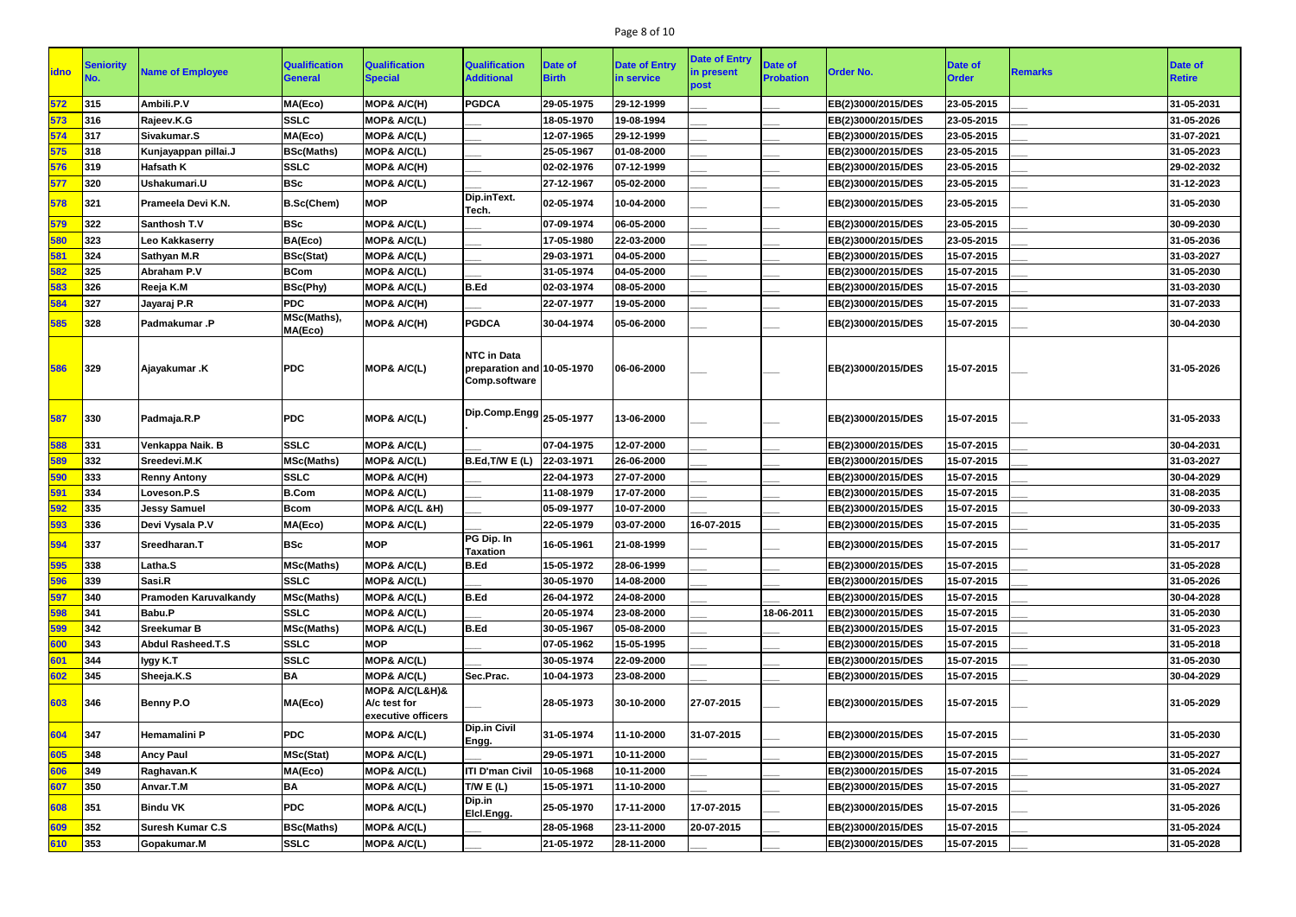# Page 8 of 10

| <u>idno</u> | <b>Seniority</b> | <b>Name of Employee</b>      | <b>Qualification</b><br><b>General</b> | <b>Qualification</b><br><b>Special</b>               | <b>Qualification</b><br><b>Additional</b>                                | Date of<br><b>Birth</b> | <b>Date of Entry</b><br>in service | <b>Date of Entry</b><br>in present<br>post | <b>Date of</b><br><b>Probation</b> | <b>Order No.</b>   | <b>Date of</b><br><b>Order</b> | <b>Remarks</b> | Date of<br><b>Retire</b> |
|-------------|------------------|------------------------------|----------------------------------------|------------------------------------------------------|--------------------------------------------------------------------------|-------------------------|------------------------------------|--------------------------------------------|------------------------------------|--------------------|--------------------------------|----------------|--------------------------|
| 572         | 315              | Ambili.P.V                   | MA(Eco)                                | MOP& A/C(H)                                          | <b>PGDCA</b>                                                             | 29-05-1975              | 29-12-1999                         |                                            |                                    | EB(2)3000/2015/DES | 23-05-2015                     |                | 31-05-2031               |
| 573         | 316              | Rajeev.K.G                   | <b>SSLC</b>                            | MOP& A/C(L)                                          |                                                                          | 18-05-1970              | 19-08-1994                         |                                            |                                    | EB(2)3000/2015/DES | 23-05-2015                     |                | 31-05-2026               |
| 574         | 317              | Sivakumar.S                  | MA(Eco)                                | MOP& A/C(L)                                          |                                                                          | 12-07-1965              | 29-12-1999                         |                                            |                                    | EB(2)3000/2015/DES | 23-05-2015                     |                | 31-07-2021               |
| 575         | 318              | Kunjayappan pillai.J         | <b>BSc(Maths)</b>                      | MOP& A/C(L)                                          |                                                                          | 25-05-1967              | 01-08-2000                         |                                            |                                    | EB(2)3000/2015/DES | 23-05-2015                     |                | 31-05-2023               |
| 576         | 319              | <b>Hafsath K</b>             | <b>SSLC</b>                            | MOP& A/C(H)                                          |                                                                          | 02-02-1976              | 07-12-1999                         |                                            |                                    | EB(2)3000/2015/DES | 23-05-2015                     |                | 29-02-2032               |
| 577         | 320              | Ushakumari.U                 | <b>BSc</b>                             | MOP& A/C(L)                                          |                                                                          | 27-12-1967              | 05-02-2000                         |                                            |                                    | EB(2)3000/2015/DES | 23-05-2015                     |                | 31-12-2023               |
| 578         | 321              | Prameela Devi K.N.           | <b>B.Sc(Chem)</b>                      | <b>MOP</b>                                           | Dip.inText.<br>Tech.                                                     | 02-05-1974              | 10-04-2000                         |                                            |                                    | EB(2)3000/2015/DES | 23-05-2015                     |                | 31-05-2030               |
| 579         | 322              | Santhosh T.V                 | <b>BSc</b>                             | MOP& A/C(L)                                          |                                                                          | 07-09-1974              | 06-05-2000                         |                                            |                                    | EB(2)3000/2015/DES | 23-05-2015                     |                | 30-09-2030               |
| 580         | 323              | Leo Kakkaserry               | BA(Eco)                                | MOP& A/C(L)                                          |                                                                          | 17-05-1980              | 22-03-2000                         |                                            |                                    | EB(2)3000/2015/DES | 23-05-2015                     |                | 31-05-2036               |
| 581         | 324              | Sathyan M.R                  | <b>BSc(Stat)</b>                       | MOP& A/C(L)                                          |                                                                          | 29-03-1971              | 04-05-2000                         |                                            |                                    | EB(2)3000/2015/DES | 15-07-2015                     |                | 31-03-2027               |
| 582         | 325              | <b>Abraham P.V</b>           | <b>BCom</b>                            | MOP& A/C(L)                                          |                                                                          | 31-05-1974              | 04-05-2000                         |                                            |                                    | EB(2)3000/2015/DES | 15-07-2015                     |                | 31-05-2030               |
| 583         | 326              | Reeja K.M                    | <b>BSc(Phy)</b>                        | MOP& A/C(L)                                          | <b>B.Ed</b>                                                              | 02-03-1974              | 08-05-2000                         |                                            |                                    | EB(2)3000/2015/DES | 15-07-2015                     |                | 31-03-2030               |
| 584         | 327              | Jayaraj P.R                  | <b>PDC</b>                             | MOP& A/C(H)                                          |                                                                          | 22-07-1977              | 19-05-2000                         |                                            |                                    | EB(2)3000/2015/DES | 15-07-2015                     |                | 31-07-2033               |
| 585         | 328              | <b>Padmakumar.P</b>          | MSc(Maths),<br>MA(Eco)                 | MOP& A/C(H)                                          | <b>PGDCA</b>                                                             | 30-04-1974              | 05-06-2000                         |                                            |                                    | EB(2)3000/2015/DES | 15-07-2015                     |                | 30-04-2030               |
| 586         | 329              | Ajayakumar .K                | <b>PDC</b>                             | MOP& A/C(L)                                          | <b>NTC</b> in Data<br>preparation and 10-05-1970<br><b>Comp.software</b> |                         | 06-06-2000                         |                                            |                                    | EB(2)3000/2015/DES | 15-07-2015                     |                | 31-05-2026               |
| 587         | 330              | Padmaja.R.P                  | <b>PDC</b>                             | MOP& A/C(L)                                          | $\vert$ Dip.Comp.Engg $\vert_{25\text{-}05\text{-}1977}$                 |                         | 13-06-2000                         |                                            |                                    | EB(2)3000/2015/DES | 15-07-2015                     |                | 31-05-2033               |
| 588         | 331              | Venkappa Naik. B             | <b>SSLC</b>                            | MOP& A/C(L)                                          |                                                                          | 07-04-1975              | 12-07-2000                         |                                            |                                    | EB(2)3000/2015/DES | 15-07-2015                     |                | 30-04-2031               |
| 589         | 332              | Sreedevi.M.K                 | <b>MSc(Maths)</b>                      | MOP& A/C(L)                                          | B.Ed,T/W E(L)                                                            | 22-03-1971              | 26-06-2000                         |                                            |                                    | EB(2)3000/2015/DES | 15-07-2015                     |                | 31-03-2027               |
| 590         | 333              | <b>Renny Antony</b>          | <b>SSLC</b>                            | MOP& A/C(H)                                          |                                                                          | 22-04-1973              | 27-07-2000                         |                                            |                                    | EB(2)3000/2015/DES | 15-07-2015                     |                | 30-04-2029               |
| 591         | 334              | Loveson.P.S                  | <b>B.Com</b>                           | MOP& A/C(L)                                          |                                                                          | 11-08-1979              | 17-07-2000                         |                                            |                                    | EB(2)3000/2015/DES | 15-07-2015                     |                | 31-08-2035               |
| 592         | 335              | <b>Jessy Samuel</b>          | <b>Bcom</b>                            | MOP& A/C(L &H)                                       |                                                                          | 05-09-1977              | 10-07-2000                         |                                            |                                    | EB(2)3000/2015/DES | 15-07-2015                     |                | 30-09-2033               |
| 593         | 336              | Devi Vysala P.V              | MA(Eco)                                | MOP& A/C(L)                                          |                                                                          | 22-05-1979              | 03-07-2000                         | 16-07-2015                                 |                                    | EB(2)3000/2015/DES | 15-07-2015                     |                | 31-05-2035               |
| 594         | 337              | Sreedharan.T                 | <b>BSc</b>                             | <b>MOP</b>                                           | PG Dip. In<br><b>Taxation</b>                                            | 16-05-1961              | 21-08-1999                         |                                            |                                    | EB(2)3000/2015/DES | 15-07-2015                     |                | 31-05-2017               |
| 595         | 338              | Latha.S                      | <b>MSc(Maths)</b>                      | MOP& A/C(L)                                          | <b>B.Ed</b>                                                              | 15-05-1972              | 28-06-1999                         |                                            |                                    | EB(2)3000/2015/DES | 15-07-2015                     |                | 31-05-2028               |
| 596         | 339              | Sasi.R                       | <b>SSLC</b>                            | MOP& A/C(L)                                          |                                                                          | 30-05-1970              | 14-08-2000                         |                                            |                                    | EB(2)3000/2015/DES | 15-07-2015                     |                | 31-05-2026               |
| 597         | 340              | <b>Pramoden Karuvalkandy</b> | <b>MSc(Maths)</b>                      | MOP& A/C(L)                                          | <b>B.Ed</b>                                                              | 26-04-1972              | 24-08-2000                         |                                            |                                    | EB(2)3000/2015/DES | 15-07-2015                     |                | 30-04-2028               |
| 598         | 341              | Babu.P                       | <b>SSLC</b>                            | MOP& A/C(L)                                          |                                                                          | 20-05-1974              | 23-08-2000                         |                                            | 18-06-2011                         | EB(2)3000/2015/DES | 15-07-2015                     |                | 31-05-2030               |
| 599         | 342              | <b>Sreekumar B</b>           | <b>MSc(Maths)</b>                      | MOP& A/C(L)                                          | <b>B.Ed</b>                                                              | 30-05-1967              | 05-08-2000                         |                                            |                                    | EB(2)3000/2015/DES | 15-07-2015                     |                | 31-05-2023               |
| 600         | 343              | Abdul Rasheed.T.S            | <b>SSLC</b>                            | <b>MOP</b>                                           |                                                                          | 07-05-1962              | 15-05-1995                         |                                            |                                    | EB(2)3000/2015/DES | 15-07-2015                     |                | 31-05-2018               |
| 601         | 344              | lygy K.T                     | <b>SSLC</b>                            | MOP& A/C(L)                                          |                                                                          | 30-05-1974              | 22-09-2000                         |                                            |                                    | EB(2)3000/2015/DES | 15-07-2015                     |                | 31-05-2030               |
| 602         | 345              | Sheeja.K.S                   | <b>BA</b>                              | MOP& A/C(L)                                          | Sec.Prac.                                                                | 10-04-1973              | 23-08-2000                         |                                            |                                    | EB(2)3000/2015/DES | 15-07-2015                     |                | 30-04-2029               |
| 603         | 346              | Benny P.O                    | MA(Eco)                                | MOP& A/C(L&H)&<br>A/c test for<br>executive officers |                                                                          | 28-05-1973              | 30-10-2000                         | 27-07-2015                                 |                                    | EB(2)3000/2015/DES | 15-07-2015                     |                | 31-05-2029               |
| 604         | 347              | Hemamalini P                 | <b>PDC</b>                             | MOP& A/C(L)                                          | <b>Dip.in Civil</b><br>Engg.                                             | 31-05-1974              | 11-10-2000                         | 31-07-2015                                 |                                    | EB(2)3000/2015/DES | 15-07-2015                     |                | 31-05-2030               |
| 605         | 348              | <b>Ancy Paul</b>             | <b>MSc(Stat)</b>                       | MOP& A/C(L)                                          |                                                                          | 29-05-1971              | 10-11-2000                         |                                            |                                    | EB(2)3000/2015/DES | 15-07-2015                     |                | 31-05-2027               |
| 606         | 349              | Raghavan.K                   | MA(Eco)                                | MOP& A/C(L)                                          | <b>ITI D'man Civil</b>                                                   | 10-05-1968              | 10-11-2000                         |                                            |                                    | EB(2)3000/2015/DES | 15-07-2015                     |                | 31-05-2024               |
| 607         | 350              | Anvar.T.M                    | <b>BA</b>                              | MOP& A/C(L)                                          | TWE(L)                                                                   | 15-05-1971              | 11-10-2000                         |                                            |                                    | EB(2)3000/2015/DES | 15-07-2015                     |                | 31-05-2027               |
| 608         | 351              | <b>Bindu VK</b>              | <b>PDC</b>                             | MOP& A/C(L)                                          | Dip.in<br>Elcl.Engg.                                                     | 25-05-1970              | 17-11-2000                         | 17-07-2015                                 |                                    | EB(2)3000/2015/DES | 15-07-2015                     |                | 31-05-2026               |
| 609         | 352              | <b>Suresh Kumar C.S</b>      | <b>BSc(Maths)</b>                      | MOP& A/C(L)                                          |                                                                          | 28-05-1968              | 23-11-2000                         | 20-07-2015                                 |                                    | EB(2)3000/2015/DES | 15-07-2015                     |                | 31-05-2024               |
| 610         | 353              | Gopakumar.M                  | <b>SSLC</b>                            | MOP& A/C(L)                                          |                                                                          | 21-05-1972              | 28-11-2000                         |                                            |                                    | EB(2)3000/2015/DES | 15-07-2015                     |                | 31-05-2028               |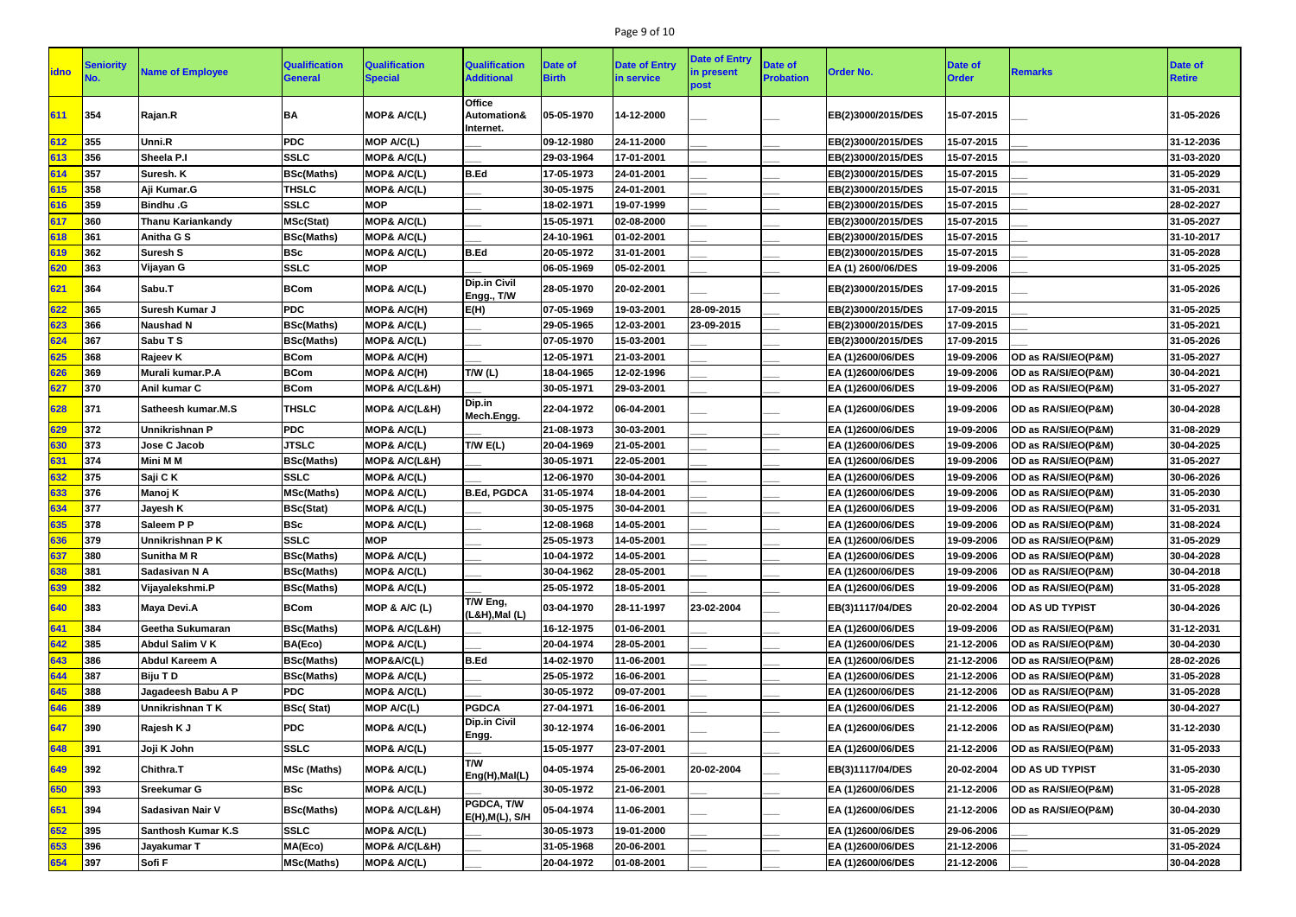# Page 9 of 10

| <b>idno</b> | Seniority | <b>Name of Employee</b>   | <b>Qualification</b><br><b>General</b> | <b>Qualification</b><br><b>Special</b> | <b>Qualification</b><br><b>Additional</b>            | Date of<br><b>Birth</b> | <b>Date of Entry</b><br>in service | <b>Date of Entry</b><br>in present<br>post | <b>Date of</b><br><b>Probation</b> | <b>Order No.</b>   | <b>Date of</b><br><b>Order</b> | <b>Remarks</b>         | Date of<br><b>Retire</b> |
|-------------|-----------|---------------------------|----------------------------------------|----------------------------------------|------------------------------------------------------|-------------------------|------------------------------------|--------------------------------------------|------------------------------------|--------------------|--------------------------------|------------------------|--------------------------|
| 611         | 354       | Rajan.R                   | BA                                     | MOP& A/C(L)                            | <b>Office</b><br><b>Automation&amp;</b><br>Internet. | 05-05-1970              | 14-12-2000                         |                                            |                                    | EB(2)3000/2015/DES | 15-07-2015                     |                        | 31-05-2026               |
| 612         | 355       | Unni.R                    | <b>PDC</b>                             | MOP A/C(L)                             |                                                      | 09-12-1980              | 24-11-2000                         |                                            |                                    | EB(2)3000/2015/DES | 15-07-2015                     |                        | 31-12-2036               |
| 613         | 356       | Sheela P.I                | <b>SSLC</b>                            | MOP& A/C(L)                            |                                                      | 29-03-1964              | 17-01-2001                         |                                            |                                    | EB(2)3000/2015/DES | 15-07-2015                     |                        | 31-03-2020               |
| 614         | 357       | Suresh. K                 | <b>BSc(Maths)</b>                      | MOP& A/C(L)                            | B.Ed                                                 | 17-05-1973              | 24-01-2001                         |                                            |                                    | EB(2)3000/2015/DES | 15-07-2015                     |                        | 31-05-2029               |
| 615         | 358       | Aji Kumar.G               | <b>THSLC</b>                           | MOP& A/C(L)                            |                                                      | 30-05-1975              | 24-01-2001                         |                                            |                                    | EB(2)3000/2015/DES | 15-07-2015                     |                        | 31-05-2031               |
| 616         | 359       | <b>Bindhu .G</b>          | <b>SSLC</b>                            | <b>MOP</b>                             |                                                      | 18-02-1971              | 19-07-1999                         |                                            |                                    | EB(2)3000/2015/DES | 15-07-2015                     |                        | 28-02-2027               |
| 617         | 360       | <b>Thanu Kariankandy</b>  | <b>MSc(Stat)</b>                       | MOP& A/C(L)                            |                                                      | 15-05-1971              | 02-08-2000                         |                                            |                                    | EB(2)3000/2015/DES | 15-07-2015                     |                        | 31-05-2027               |
| 618         | 361       | Anitha G S                | <b>BSc(Maths)</b>                      | MOP& A/C(L)                            |                                                      | 24-10-1961              | 01-02-2001                         |                                            |                                    | EB(2)3000/2015/DES | 15-07-2015                     |                        | 31-10-2017               |
| 619         | 362       | <b>Suresh S</b>           | <b>BSc</b>                             | MOP& A/C(L)                            | B.Ed                                                 | 20-05-1972              | 31-01-2001                         |                                            |                                    | EB(2)3000/2015/DES | 15-07-2015                     |                        | 31-05-2028               |
| 620         | 363       | Vijayan G                 | <b>SSLC</b>                            | <b>MOP</b>                             |                                                      | 06-05-1969              | 05-02-2001                         |                                            |                                    | EA (1) 2600/06/DES | 19-09-2006                     |                        | 31-05-2025               |
| 621         | 364       | Sabu.T                    | <b>BCom</b>                            | MOP& A/C(L)                            | <b>Dip.in Civil</b><br>Engg., T/W                    | 28-05-1970              | 20-02-2001                         |                                            |                                    | EB(2)3000/2015/DES | 17-09-2015                     |                        | 31-05-2026               |
| 622         | 365       | <b>Suresh Kumar J</b>     | <b>PDC</b>                             | MOP& A/C(H)                            | E(H)                                                 | 07-05-1969              | 19-03-2001                         | 28-09-2015                                 |                                    | EB(2)3000/2015/DES | 17-09-2015                     |                        | 31-05-2025               |
| 623         | 366       | <b>Naushad N</b>          | <b>BSc(Maths)</b>                      | MOP& A/C(L)                            |                                                      | 29-05-1965              | 12-03-2001                         | 23-09-2015                                 |                                    | EB(2)3000/2015/DES | 17-09-2015                     |                        | 31-05-2021               |
| 624         | 367       | Sabu T S                  | <b>BSc(Maths)</b>                      | MOP& A/C(L)                            |                                                      | 07-05-1970              | 15-03-2001                         |                                            |                                    | EB(2)3000/2015/DES | 17-09-2015                     |                        | 31-05-2026               |
| 625         | 368       | Rajeev K                  | <b>BCom</b>                            | MOP& A/C(H)                            |                                                      | 12-05-1971              | 21-03-2001                         |                                            |                                    | EA (1)2600/06/DES  | 19-09-2006                     | OD as RA/SI/EO(P&M)    | 31-05-2027               |
| 626         | 369       | Murali kumar.P.A          | <b>BCom</b>                            | MOP& A/C(H)                            | T/W(L)                                               | 18-04-1965              | 12-02-1996                         |                                            |                                    | EA (1)2600/06/DES  | 19-09-2006                     | OD as RA/SI/EO(P&M)    | 30-04-2021               |
| 627         | 370       | Anil kumar C              | <b>BCom</b>                            | MOP& A/C(L&H)                          |                                                      | 30-05-1971              | 29-03-2001                         |                                            |                                    | EA (1)2600/06/DES  | 19-09-2006                     | OD as RA/SI/EO(P&M)    | 31-05-2027               |
| 628         | 371       | Satheesh kumar.M.S        | <b>THSLC</b>                           | <b>MOP&amp; A/C(L&amp;H)</b>           | Dip.in<br>Mech.Engg.                                 | 22-04-1972              | 06-04-2001                         |                                            |                                    | EA (1)2600/06/DES  | 19-09-2006                     | OD as RA/SI/EO(P&M)    | 30-04-2028               |
| 629         | 372       | Unnikrishnan P            | <b>PDC</b>                             | MOP& A/C(L)                            |                                                      | 21-08-1973              | 30-03-2001                         |                                            |                                    | EA (1)2600/06/DES  | 19-09-2006                     | OD as RA/SI/EO(P&M)    | 31-08-2029               |
| 630         | 373       | Jose C Jacob              | <b>JTSLC</b>                           | MOP& A/C(L)                            | T/W E(L)                                             | 20-04-1969              | 21-05-2001                         |                                            |                                    | EA (1)2600/06/DES  | 19-09-2006                     | OD as RA/SI/EO(P&M)    | 30-04-2025               |
| 631         | 374       | <b>Mini M M</b>           | <b>BSc(Maths)</b>                      | <b>MOP&amp; A/C(L&amp;H)</b>           |                                                      | 30-05-1971              | 22-05-2001                         |                                            |                                    | EA (1)2600/06/DES  | 19-09-2006                     | OD as RA/SI/EO(P&M)    | 31-05-2027               |
| 632         | 375       | Saji C K                  | <b>SSLC</b>                            | MOP& A/C(L)                            |                                                      | 12-06-1970              | 30-04-2001                         |                                            |                                    | EA (1)2600/06/DES  | 19-09-2006                     | OD as RA/SI/EO(P&M)    | 30-06-2026               |
| 633         | 376       | Manoj K                   | <b>MSc(Maths)</b>                      | MOP& A/C(L)                            | <b>B.Ed, PGDCA</b>                                   | 31-05-1974              | 18-04-2001                         |                                            |                                    | EA (1)2600/06/DES  | 19-09-2006                     | OD as RA/SI/EO(P&M)    | 31-05-2030               |
| 634         | 377       | Jayesh K                  | <b>BSc(Stat)</b>                       | MOP& A/C(L)                            |                                                      | 30-05-1975              | 30-04-2001                         |                                            |                                    | EA (1)2600/06/DES  | 19-09-2006                     | OD as RA/SI/EO(P&M)    | 31-05-2031               |
| 635         | 378       | Saleem P P                | <b>BSc</b>                             | MOP& A/C(L)                            |                                                      | 12-08-1968              | 14-05-2001                         |                                            |                                    | EA (1)2600/06/DES  | 19-09-2006                     | OD as RA/SI/EO(P&M)    | 31-08-2024               |
| 636         | 379       | Unnikrishnan PK           | <b>SSLC</b>                            | <b>MOP</b>                             |                                                      | 25-05-1973              | 14-05-2001                         |                                            |                                    | EA (1)2600/06/DES  | 19-09-2006                     | OD as RA/SI/EO(P&M)    | 31-05-2029               |
| 637         | 380       | <b>Sunitha M R</b>        | <b>BSc(Maths)</b>                      | MOP& A/C(L)                            |                                                      | 10-04-1972              | 14-05-2001                         |                                            |                                    | EA (1)2600/06/DES  | 19-09-2006                     | OD as RA/SI/EO(P&M)    | 30-04-2028               |
| 638         | 381       | Sadasivan N A             | <b>BSc(Maths)</b>                      | MOP& A/C(L)                            |                                                      | 30-04-1962              | 28-05-2001                         |                                            |                                    | EA (1)2600/06/DES  | 19-09-2006                     | OD as RA/SI/EO(P&M)    | 30-04-2018               |
| 639         | 382       | Vijayalekshmi.P           | <b>BSc(Maths)</b>                      | MOP& A/C(L)                            |                                                      | 25-05-1972              | 18-05-2001                         |                                            |                                    | EA (1)2600/06/DES  | 19-09-2006                     | OD as RA/SI/EO(P&M)    | 31-05-2028               |
| 640         | 383       | Maya Devi.A               | <b>BCom</b>                            | MOP & A/C (L)                          | T/W Eng,<br>$(L&H),$ Mal $(L)$                       | 03-04-1970              | 28-11-1997                         | 23-02-2004                                 |                                    | EB(3)1117/04/DES   | 20-02-2004                     | <b>OD AS UD TYPIST</b> | 30-04-2026               |
| 641         | 384       | Geetha Sukumaran          | <b>BSc(Maths)</b>                      | <b>MOP&amp; A/C(L&amp;H)</b>           |                                                      | 16-12-1975              | 01-06-2001                         |                                            |                                    | EA (1)2600/06/DES  | 19-09-2006                     | OD as RA/SI/EO(P&M)    | 31-12-2031               |
| 642         | 385       | <b>Abdul Salim V K</b>    | BA(Eco)                                | MOP& A/C(L)                            |                                                      | 20-04-1974              | 28-05-2001                         |                                            |                                    | EA (1)2600/06/DES  | 21-12-2006                     | OD as RA/SI/EO(P&M)    | 30-04-2030               |
| 643         | 386       | <b>Abdul Kareem A</b>     | <b>BSc(Maths)</b>                      | MOP&A/C(L)                             | B.Ed                                                 | 14-02-1970              | 11-06-2001                         |                                            |                                    | EA (1)2600/06/DES  | 21-12-2006                     | OD as RA/SI/EO(P&M)    | 28-02-2026               |
| 644         | 387       | Biju T D                  | <b>BSc(Maths)</b>                      | MOP& A/C(L)                            |                                                      | 25-05-1972              | 16-06-2001                         |                                            |                                    | EA (1)2600/06/DES  | 21-12-2006                     | OD as RA/SI/EO(P&M)    | 31-05-2028               |
| 645         | 388       | Jagadeesh Babu A P        | <b>PDC</b>                             | MOP& A/C(L)                            |                                                      | 30-05-1972              | 09-07-2001                         |                                            |                                    | EA (1)2600/06/DES  | 21-12-2006                     | OD as RA/SI/EO(P&M)    | 31-05-2028               |
| 646         | 389       | Unnikrishnan TK           | <b>BSc(Stat)</b>                       | <b>MOP A/C(L)</b>                      | <b>PGDCA</b>                                         | 27-04-1971              | 16-06-2001                         |                                            |                                    | EA (1)2600/06/DES  | 21-12-2006                     | OD as RA/SI/EO(P&M)    | 30-04-2027               |
| 647         | 390       | Rajesh K J                | <b>PDC</b>                             | MOP& A/C(L)                            | Dip.in Civil<br>Engg.                                | 30-12-1974              | 16-06-2001                         |                                            |                                    | EA (1)2600/06/DES  | 21-12-2006                     | OD as RA/SI/EO(P&M)    | 31-12-2030               |
| 648         | 391       | Joji K John               | <b>SSLC</b>                            | MOP& A/C(L)                            |                                                      | 15-05-1977              | 23-07-2001                         |                                            |                                    | EA (1)2600/06/DES  | 21-12-2006                     | OD as RA/SI/EO(P&M)    | 31-05-2033               |
| 649         | 392       | <b>Chithra.T</b>          | <b>MSc (Maths)</b>                     | MOP& A/C(L)                            | T/W<br>Eng(H), Mal(L)                                | 04-05-1974              | 25-06-2001                         | 20-02-2004                                 |                                    | EB(3)1117/04/DES   | 20-02-2004                     | OD AS UD TYPIST        | 31-05-2030               |
| 650         | 393       | <b>Sreekumar G</b>        | <b>BSc</b>                             | MOP& A/C(L)                            |                                                      | 30-05-1972              | 21-06-2001                         |                                            |                                    | EA (1)2600/06/DES  | 21-12-2006                     | OD as RA/SI/EO(P&M)    | 31-05-2028               |
| 651         | 394       | Sadasivan Nair V          | <b>BSc(Maths)</b>                      | MOP& A/C(L&H)                          | PGDCA, T/W<br>E(H), M(L), S/H                        | 05-04-1974              | 11-06-2001                         |                                            |                                    | EA (1)2600/06/DES  | 21-12-2006                     | OD as RA/SI/EO(P&M)    | 30-04-2030               |
| 652         | 395       | <b>Santhosh Kumar K.S</b> | <b>SSLC</b>                            | MOP& A/C(L)                            |                                                      | 30-05-1973              | 19-01-2000                         |                                            |                                    | EA (1)2600/06/DES  | 29-06-2006                     |                        | 31-05-2029               |
| 653         | 396       | Jayakumar T               | MA(Eco)                                | <b>MOP&amp; A/C(L&amp;H)</b>           |                                                      | 31-05-1968              | 20-06-2001                         |                                            |                                    | EA (1)2600/06/DES  | 21-12-2006                     |                        | 31-05-2024               |
| 654         | 397       | Sofi F                    | <b>MSc(Maths)</b>                      | MOP& A/C(L)                            |                                                      | 20-04-1972              | 01-08-2001                         |                                            |                                    | EA (1)2600/06/DES  | 21-12-2006                     |                        | 30-04-2028               |